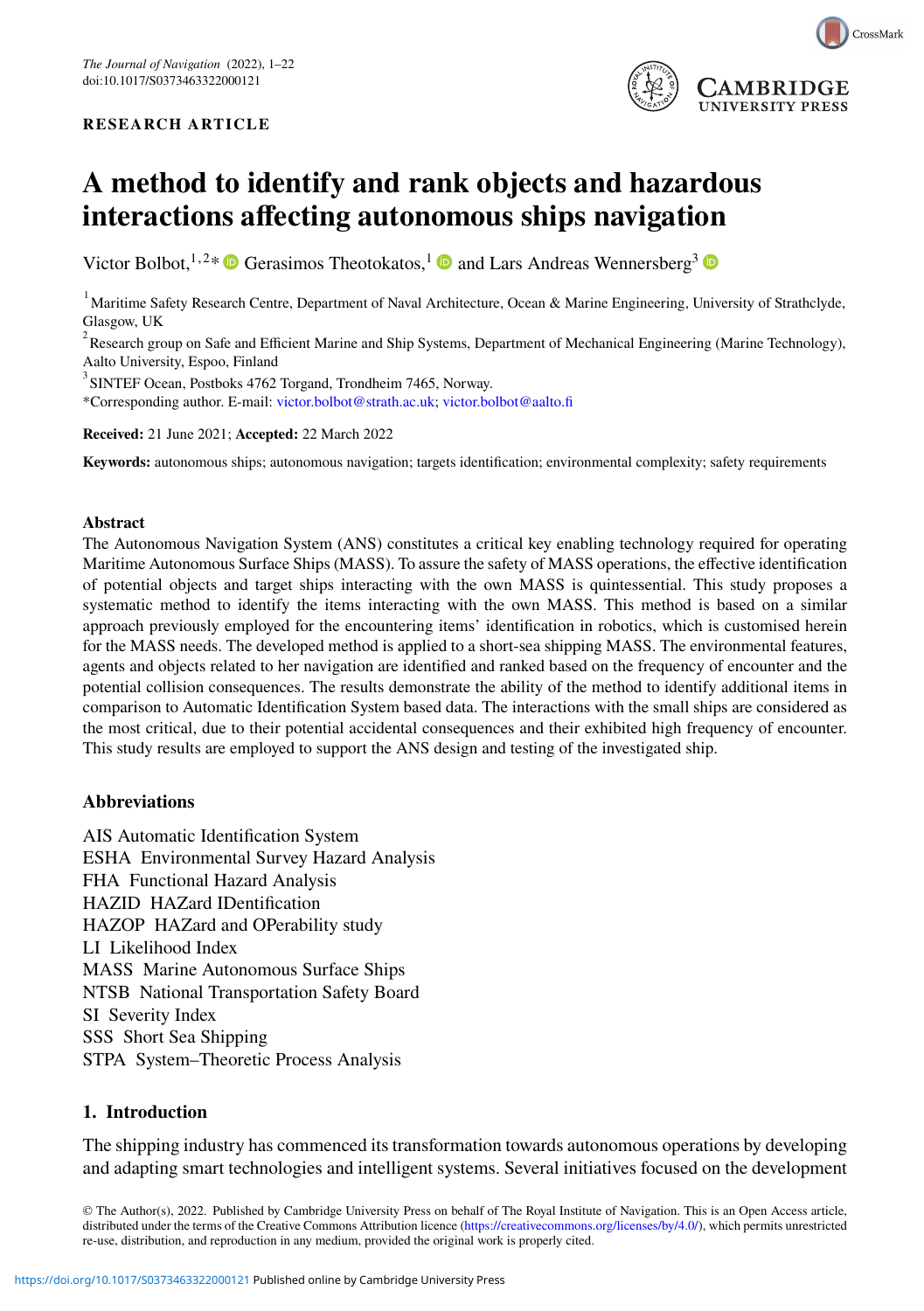### **RESEARCH ARTICLE**



# **A method to identify and rank objects and hazardous interactions affecting autonomous ships navigation**

Victor Bolbot, <sup>1,2\*</sup> Gerasimos Theotokatos,<sup>1</sup> and Lars Andreas Wennersberg<sup>3</sup> <sup>®</sup>

<sup>1</sup> Maritime Safety Research Centre, Department of Naval Architecture, Ocean & Marine Engineering, University of Strathclyde, Glasgow, UK

 $^2$ Research group on Safe and Efficient Marine and Ship Systems, Department of Mechanical Engineering (Marine Technology), Aalto University, Espoo, Finland

<sup>3</sup> SINTEF Ocean, Postboks 4762 Torgand, Trondheim 7465, Norway.

\*Corresponding author. E-mail: [victor.bolbot@strath.ac.uk;](mailto:victor.bolbot@strath.ac.uk) [victor.bolbot@aalto.fi](mailto:victor.bolbot@aalto.fi)

**Received:** 21 June 2021; **Accepted:** 22 March 2022

**Keywords:** autonomous ships; autonomous navigation; targets identification; environmental complexity; safety requirements

#### **Abstract**

The Autonomous Navigation System (ANS) constitutes a critical key enabling technology required for operating Maritime Autonomous Surface Ships (MASS). To assure the safety of MASS operations, the effective identification of potential objects and target ships interacting with the own MASS is quintessential. This study proposes a systematic method to identify the items interacting with the own MASS. This method is based on a similar approach previously employed for the encountering items' identification in robotics, which is customised herein for the MASS needs. The developed method is applied to a short-sea shipping MASS. The environmental features, agents and objects related to her navigation are identified and ranked based on the frequency of encounter and the potential collision consequences. The results demonstrate the ability of the method to identify additional items in comparison to Automatic Identification System based data. The interactions with the small ships are considered as the most critical, due to their potential accidental consequences and their exhibited high frequency of encounter. This study results are employed to support the ANS design and testing of the investigated ship.

### **Abbreviations**

AIS Automatic Identification System ESHA Environmental Survey Hazard Analysis FHA Functional Hazard Analysis HAZID HAZard IDentification HAZOP HAZard and OPerability study LI Likelihood Index MASS Marine Autonomous Surface Ships NTSB National Transportation Safety Board SI Severity Index SSS Short Sea Shipping STPA System–Theoretic Process Analysis

### **1. Introduction**

The shipping industry has commenced its transformation towards autonomous operations by developing and adapting smart technologies and intelligent systems. Several initiatives focused on the development

© The Author(s), 2022. Published by Cambridge University Press on behalf of The Royal Institute of Navigation. This is an Open Access article, distributed under the terms of the Creative Commons Attribution licence [\(https://creativecommons.org/licenses/by/4.0/\)](https://creativecommons.org/licenses/by/4.0/), which permits unrestricted re-use, distribution, and reproduction in any medium, provided the original work is properly cited.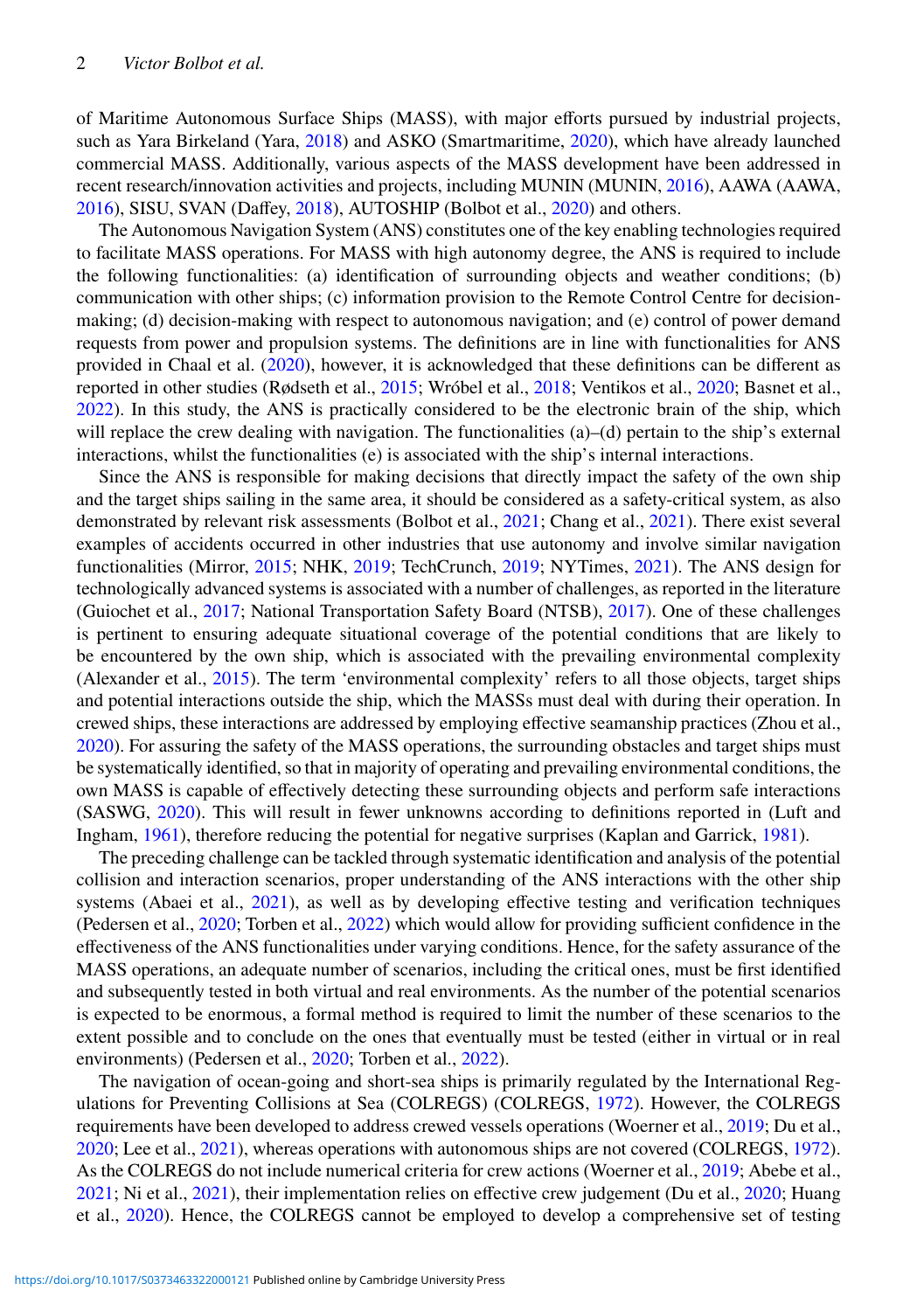of Maritime Autonomous Surface Ships (MASS), with major efforts pursued by industrial projects, such as Yara Birkeland (Yara, [2018\)](#page-21-0) and ASKO (Smartmaritime, [2020\)](#page-20-0), which have already launched commercial MASS. Additionally, various aspects of the MASS development have been addressed in recent research/innovation activities and projects, including MUNIN (MUNIN, [2016\)](#page-20-1), AAWA (AAWA, [2016\)](#page-18-0), SISU, SVAN (Daffey, [2018\)](#page-19-0), AUTOSHIP (Bolbot et al., [2020\)](#page-18-1) and others.

The Autonomous Navigation System (ANS) constitutes one of the key enabling technologies required to facilitate MASS operations. For MASS with high autonomy degree, the ANS is required to include the following functionalities: (a) identification of surrounding objects and weather conditions; (b) communication with other ships; (c) information provision to the Remote Control Centre for decisionmaking; (d) decision-making with respect to autonomous navigation; and (e) control of power demand requests from power and propulsion systems. The definitions are in line with functionalities for ANS provided in Chaal et al. [\(2020\)](#page-19-1), however, it is acknowledged that these definitions can be different as reported in other studies (Rødseth et al., [2015;](#page-20-2) Wróbel et al., [2018;](#page-21-1) Ventikos et al., [2020;](#page-20-3) Basnet et al., [2022\)](#page-18-2). In this study, the ANS is practically considered to be the electronic brain of the ship, which will replace the crew dealing with navigation. The functionalities (a)–(d) pertain to the ship's external interactions, whilst the functionalities (e) is associated with the ship's internal interactions.

Since the ANS is responsible for making decisions that directly impact the safety of the own ship and the target ships sailing in the same area, it should be considered as a safety-critical system, as also demonstrated by relevant risk assessments (Bolbot et al., [2021;](#page-18-3) Chang et al., [2021\)](#page-19-2). There exist several examples of accidents occurred in other industries that use autonomy and involve similar navigation functionalities (Mirror, [2015;](#page-19-3) NHK, [2019;](#page-20-4) TechCrunch, [2019;](#page-20-5) NYTimes, [2021\)](#page-20-6). The ANS design for technologically advanced systems is associated with a number of challenges, as reported in the literature (Guiochet et al., [2017;](#page-19-4) National Transportation Safety Board (NTSB), [2017\)](#page-20-7). One of these challenges is pertinent to ensuring adequate situational coverage of the potential conditions that are likely to be encountered by the own ship, which is associated with the prevailing environmental complexity (Alexander et al., [2015\)](#page-18-4). The term 'environmental complexity' refers to all those objects, target ships and potential interactions outside the ship, which the MASSs must deal with during their operation. In crewed ships, these interactions are addressed by employing effective seamanship practices (Zhou et al., [2020\)](#page-21-2). For assuring the safety of the MASS operations, the surrounding obstacles and target ships must be systematically identified, so that in majority of operating and prevailing environmental conditions, the own MASS is capable of effectively detecting these surrounding objects and perform safe interactions (SASWG, [2020\)](#page-20-8). This will result in fewer unknowns according to definitions reported in (Luft and Ingham, [1961\)](#page-19-5), therefore reducing the potential for negative surprises (Kaplan and Garrick, [1981\)](#page-19-6).

The preceding challenge can be tackled through systematic identification and analysis of the potential collision and interaction scenarios, proper understanding of the ANS interactions with the other ship systems (Abaei et al., [2021\)](#page-18-5), as well as by developing effective testing and verification techniques (Pedersen et al., [2020;](#page-20-9) Torben et al., [2022\)](#page-20-10) which would allow for providing sufficient confidence in the effectiveness of the ANS functionalities under varying conditions. Hence, for the safety assurance of the MASS operations, an adequate number of scenarios, including the critical ones, must be first identified and subsequently tested in both virtual and real environments. As the number of the potential scenarios is expected to be enormous, a formal method is required to limit the number of these scenarios to the extent possible and to conclude on the ones that eventually must be tested (either in virtual or in real environments) (Pedersen et al., [2020;](#page-20-9) Torben et al., [2022\)](#page-20-10).

The navigation of ocean-going and short-sea ships is primarily regulated by the International Regulations for Preventing Collisions at Sea (COLREGS) (COLREGS, [1972\)](#page-19-7). However, the COLREGS requirements have been developed to address crewed vessels operations (Woerner et al., [2019;](#page-20-11) Du et al., [2020;](#page-19-8) Lee et al., [2021\)](#page-19-9), whereas operations with autonomous ships are not covered (COLREGS, [1972\)](#page-19-7). As the COLREGS do not include numerical criteria for crew actions (Woerner et al., [2019;](#page-20-11) Abebe et al., [2021;](#page-18-6) Ni et al., [2021\)](#page-20-12), their implementation relies on effective crew judgement (Du et al., [2020;](#page-19-8) Huang et al., [2020\)](#page-19-10). Hence, the COLREGS cannot be employed to develop a comprehensive set of testing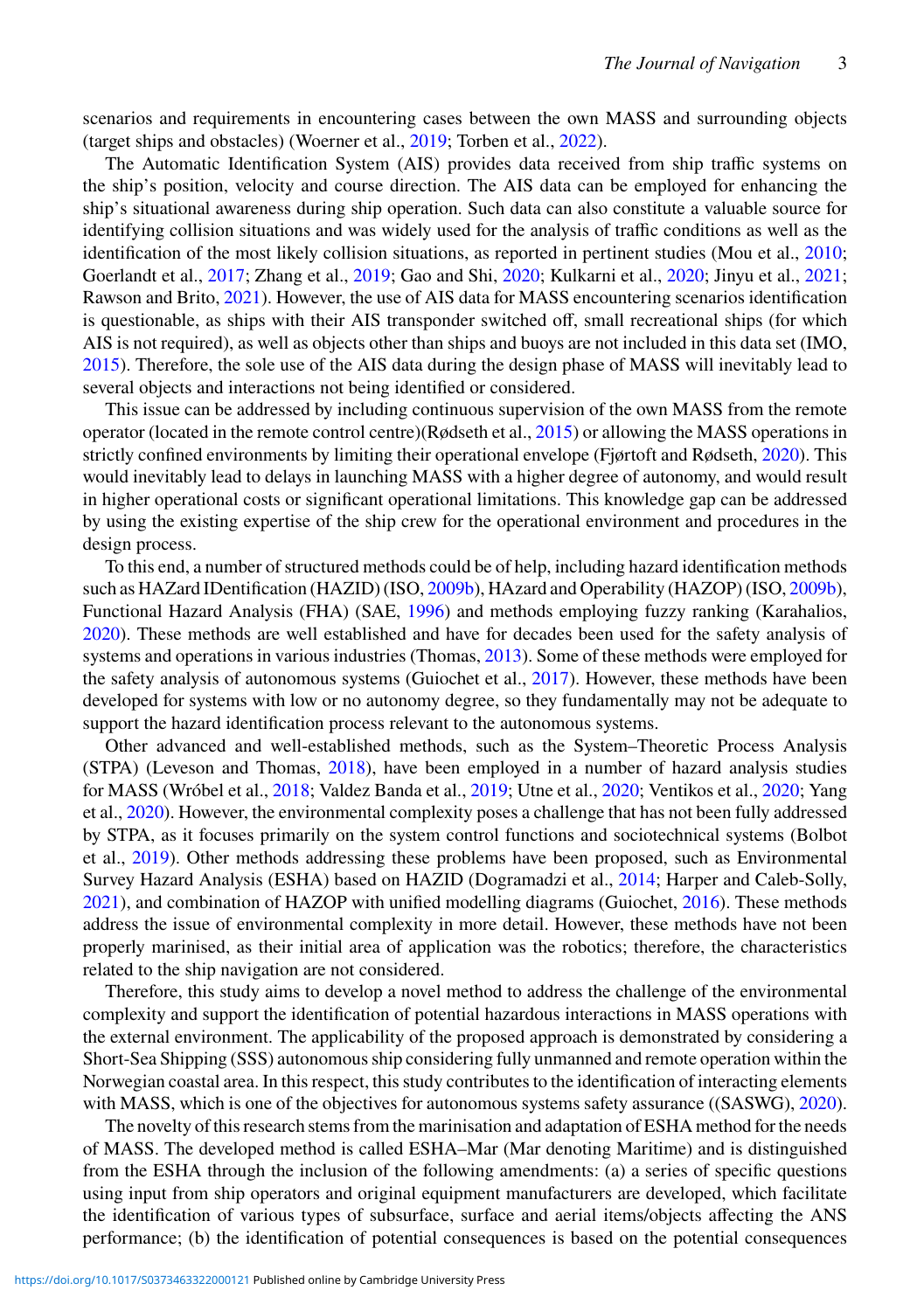scenarios and requirements in encountering cases between the own MASS and surrounding objects (target ships and obstacles) (Woerner et al., [2019;](#page-20-11) Torben et al., [2022\)](#page-20-10).

The Automatic Identification System (AIS) provides data received from ship traffic systems on the ship's position, velocity and course direction. The AIS data can be employed for enhancing the ship's situational awareness during ship operation. Such data can also constitute a valuable source for identifying collision situations and was widely used for the analysis of traffic conditions as well as the identification of the most likely collision situations, as reported in pertinent studies (Mou et al., [2010;](#page-20-13) Goerlandt et al., [2017;](#page-19-11) Zhang et al., [2019;](#page-21-3) Gao and Shi, [2020;](#page-19-12) Kulkarni et al., [2020;](#page-19-13) Jinyu et al., [2021;](#page-19-14) Rawson and Brito, [2021\)](#page-20-14). However, the use of AIS data for MASS encountering scenarios identification is questionable, as ships with their AIS transponder switched off, small recreational ships (for which AIS is not required), as well as objects other than ships and buoys are not included in this data set (IMO, [2015\)](#page-19-15). Therefore, the sole use of the AIS data during the design phase of MASS will inevitably lead to several objects and interactions not being identified or considered.

This issue can be addressed by including continuous supervision of the own MASS from the remote operator (located in the remote control centre)(Rødseth et al., [2015\)](#page-20-2) or allowing the MASS operations in strictly confined environments by limiting their operational envelope (Fjørtoft and Rødseth, [2020\)](#page-19-16). This would inevitably lead to delays in launching MASS with a higher degree of autonomy, and would result in higher operational costs or significant operational limitations. This knowledge gap can be addressed by using the existing expertise of the ship crew for the operational environment and procedures in the design process.

To this end, a number of structured methods could be of help, including hazard identification methods such as HAZard IDentification (HAZID) (ISO, [2009b\)](#page-19-17), HAzard and Operability (HAZOP) (ISO, [2009b\)](#page-19-17), Functional Hazard Analysis (FHA) (SAE, [1996\)](#page-20-15) and methods employing fuzzy ranking (Karahalios, [2020\)](#page-19-18). These methods are well established and have for decades been used for the safety analysis of systems and operations in various industries (Thomas, [2013\)](#page-20-16). Some of these methods were employed for the safety analysis of autonomous systems (Guiochet et al., [2017\)](#page-19-4). However, these methods have been developed for systems with low or no autonomy degree, so they fundamentally may not be adequate to support the hazard identification process relevant to the autonomous systems.

Other advanced and well-established methods, such as the System–Theoretic Process Analysis (STPA) (Leveson and Thomas, [2018\)](#page-19-19), have been employed in a number of hazard analysis studies for MASS (Wróbel et al., [2018;](#page-21-1) Valdez Banda et al., [2019;](#page-20-17) Utne et al., [2020;](#page-20-18) Ventikos et al., [2020;](#page-20-3) Yang et al., [2020\)](#page-21-4). However, the environmental complexity poses a challenge that has not been fully addressed by STPA, as it focuses primarily on the system control functions and sociotechnical systems (Bolbot et al., [2019\)](#page-18-7). Other methods addressing these problems have been proposed, such as Environmental Survey Hazard Analysis (ESHA) based on HAZID (Dogramadzi et al., [2014;](#page-19-20) Harper and Caleb-Solly, [2021\)](#page-19-21), and combination of HAZOP with unified modelling diagrams (Guiochet, [2016\)](#page-19-22). These methods address the issue of environmental complexity in more detail. However, these methods have not been properly marinised, as their initial area of application was the robotics; therefore, the characteristics related to the ship navigation are not considered.

Therefore, this study aims to develop a novel method to address the challenge of the environmental complexity and support the identification of potential hazardous interactions in MASS operations with the external environment. The applicability of the proposed approach is demonstrated by considering a Short-Sea Shipping (SSS) autonomous ship considering fully unmanned and remote operation within the Norwegian coastal area. In this respect, this study contributes to the identification of interacting elements with MASS, which is one of the objectives for autonomous systems safety assurance ((SASWG), [2020\)](#page-20-8).

The novelty of this research stems from the marinisation and adaptation of ESHA method for the needs of MASS. The developed method is called ESHA–Mar (Mar denoting Maritime) and is distinguished from the ESHA through the inclusion of the following amendments: (a) a series of specific questions using input from ship operators and original equipment manufacturers are developed, which facilitate the identification of various types of subsurface, surface and aerial items/objects affecting the ANS performance; (b) the identification of potential consequences is based on the potential consequences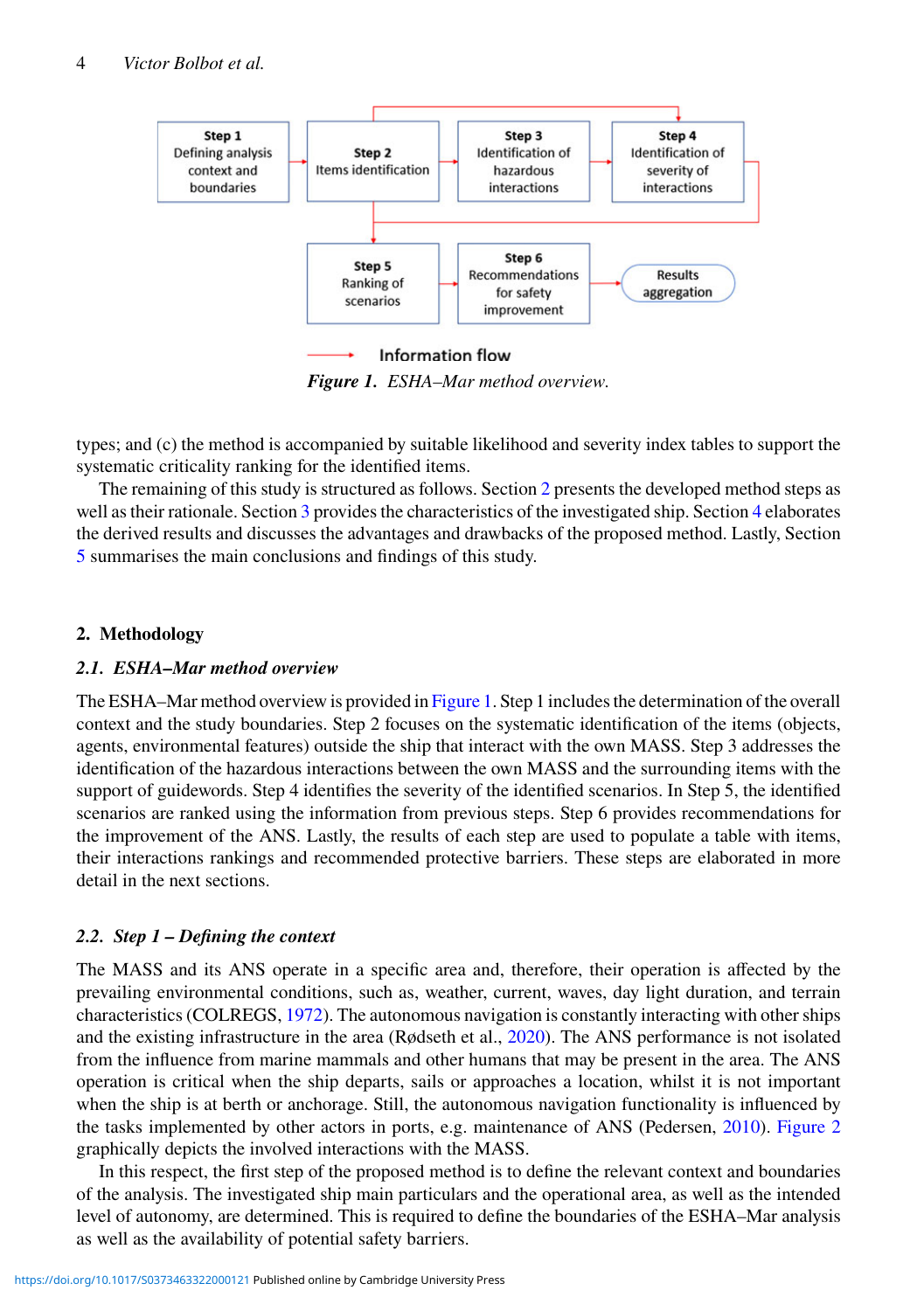

<span id="page-3-1"></span>*Figure 1. ESHA–Mar method overview.*

types; and (c) the method is accompanied by suitable likelihood and severity index tables to support the systematic criticality ranking for the identified items.

The remaining of this study is structured as follows. Section [2](#page-3-0) presents the developed method steps as well as their rationale. Section [3](#page-10-0) provides the characteristics of the investigated ship. Section [4](#page-10-1) elaborates the derived results and discusses the advantages and drawbacks of the proposed method. Lastly, Section [5](#page-18-8) summarises the main conclusions and findings of this study.

# <span id="page-3-0"></span>**2. Methodology**

# *2.1. ESHA–Mar method overview*

The ESHA–Mar method overview is provided in [Figure 1.](#page-3-1) Step 1 includes the determination of the overall context and the study boundaries. Step 2 focuses on the systematic identification of the items (objects, agents, environmental features) outside the ship that interact with the own MASS. Step 3 addresses the identification of the hazardous interactions between the own MASS and the surrounding items with the support of guidewords. Step 4 identifies the severity of the identified scenarios. In Step 5, the identified scenarios are ranked using the information from previous steps. Step 6 provides recommendations for the improvement of the ANS. Lastly, the results of each step are used to populate a table with items, their interactions rankings and recommended protective barriers. These steps are elaborated in more detail in the next sections.

# *2.2. Step 1 – Defining the context*

The MASS and its ANS operate in a specific area and, therefore, their operation is affected by the prevailing environmental conditions, such as, weather, current, waves, day light duration, and terrain characteristics (COLREGS, [1972\)](#page-19-7). The autonomous navigation is constantly interacting with other ships and the existing infrastructure in the area (Rødseth et al., [2020\)](#page-20-19). The ANS performance is not isolated from the influence from marine mammals and other humans that may be present in the area. The ANS operation is critical when the ship departs, sails or approaches a location, whilst it is not important when the ship is at berth or anchorage. Still, the autonomous navigation functionality is influenced by the tasks implemented by other actors in ports, e.g. maintenance of ANS (Pedersen, [2010\)](#page-20-20). [Figure 2](#page-4-0) graphically depicts the involved interactions with the MASS.

In this respect, the first step of the proposed method is to define the relevant context and boundaries of the analysis. The investigated ship main particulars and the operational area, as well as the intended level of autonomy, are determined. This is required to define the boundaries of the ESHA–Mar analysis as well as the availability of potential safety barriers.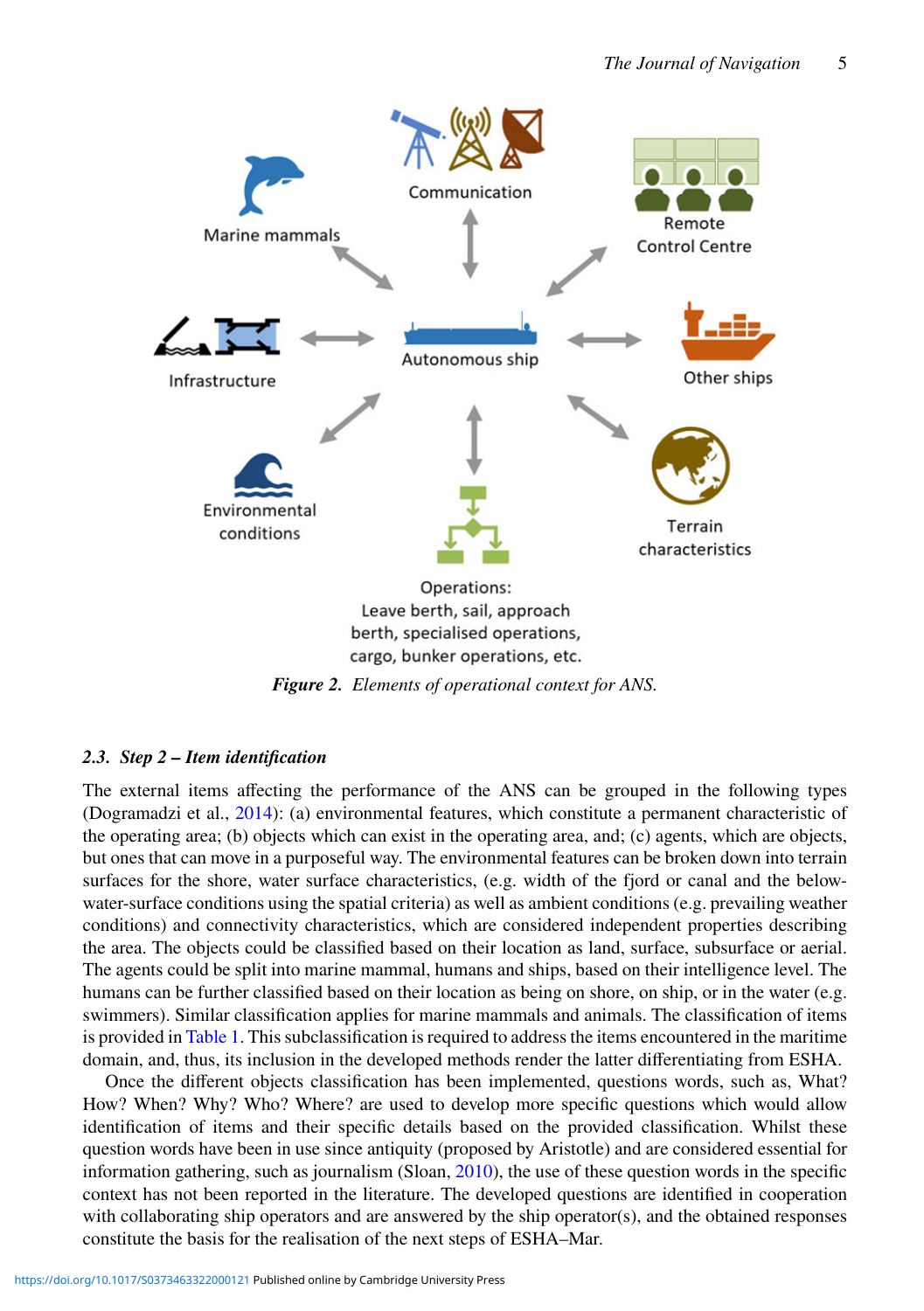

<span id="page-4-0"></span>*Figure 2. Elements of operational context for ANS.*

# *2.3. Step 2 – Item identification*

The external items affecting the performance of the ANS can be grouped in the following types (Dogramadzi et al., [2014\)](#page-19-20): (a) environmental features, which constitute a permanent characteristic of the operating area; (b) objects which can exist in the operating area, and; (c) agents, which are objects, but ones that can move in a purposeful way. The environmental features can be broken down into terrain surfaces for the shore, water surface characteristics, (e.g. width of the fjord or canal and the belowwater-surface conditions using the spatial criteria) as well as ambient conditions (e.g. prevailing weather conditions) and connectivity characteristics, which are considered independent properties describing the area. The objects could be classified based on their location as land, surface, subsurface or aerial. The agents could be split into marine mammal, humans and ships, based on their intelligence level. The humans can be further classified based on their location as being on shore, on ship, or in the water (e.g. swimmers). Similar classification applies for marine mammals and animals. The classification of items is provided in [Table 1.](#page-5-0) This subclassification is required to address the items encountered in the maritime domain, and, thus, its inclusion in the developed methods render the latter differentiating from ESHA.

Once the different objects classification has been implemented, questions words, such as, What? How? When? Why? Who? Where? are used to develop more specific questions which would allow identification of items and their specific details based on the provided classification. Whilst these question words have been in use since antiquity (proposed by Aristotle) and are considered essential for information gathering, such as journalism (Sloan, [2010\)](#page-20-21), the use of these question words in the specific context has not been reported in the literature. The developed questions are identified in cooperation with collaborating ship operators and are answered by the ship operator(s), and the obtained responses constitute the basis for the realisation of the next steps of ESHA–Mar.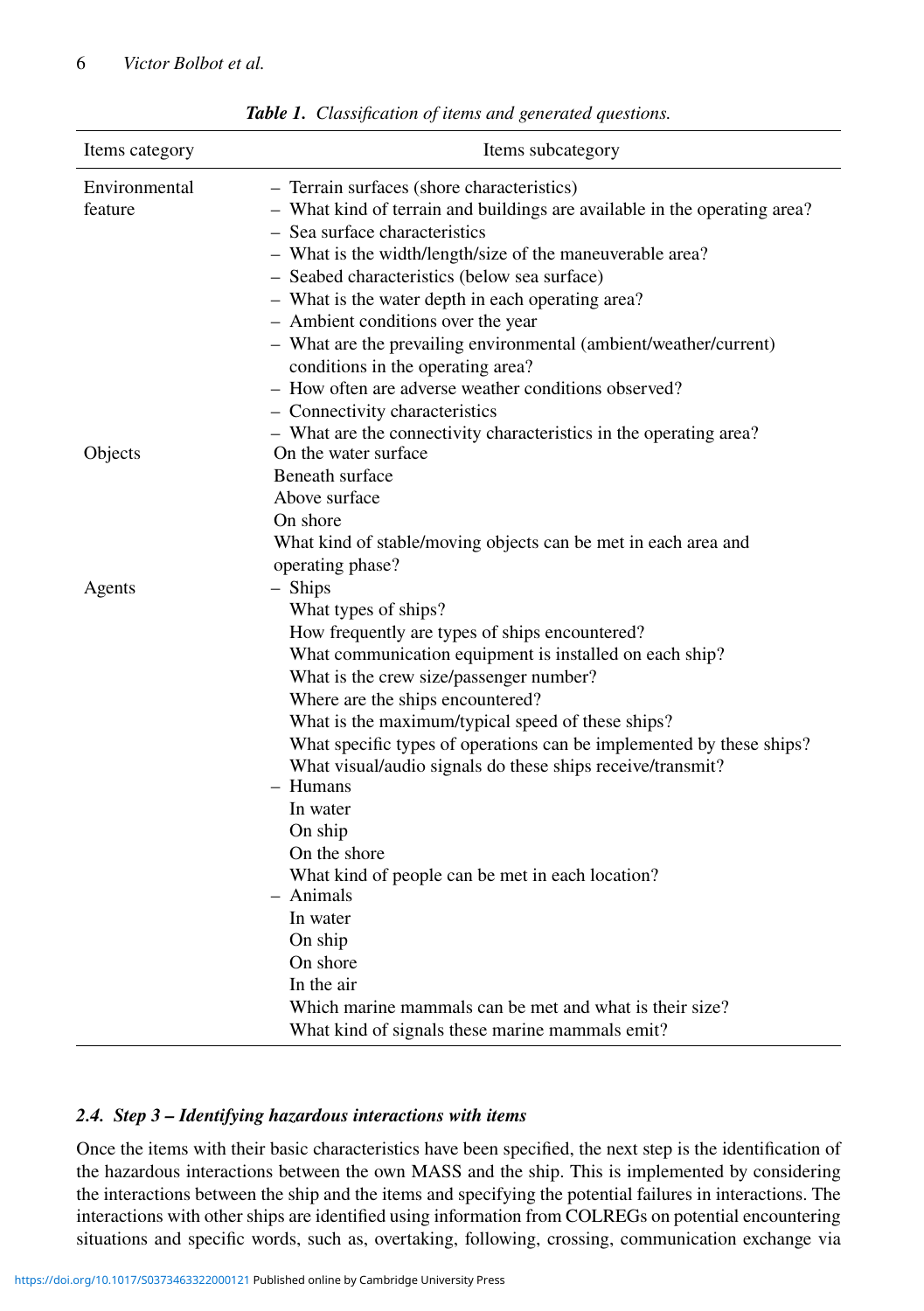| Items category<br>Items subcategory |                                                                                                                                                                                                                                                                                                                                                                                                                                                                                                                                                                                                                                                                                                             |  |  |
|-------------------------------------|-------------------------------------------------------------------------------------------------------------------------------------------------------------------------------------------------------------------------------------------------------------------------------------------------------------------------------------------------------------------------------------------------------------------------------------------------------------------------------------------------------------------------------------------------------------------------------------------------------------------------------------------------------------------------------------------------------------|--|--|
| Environmental<br>feature            | - Terrain surfaces (shore characteristics)<br>- What kind of terrain and buildings are available in the operating area?<br>- Sea surface characteristics<br>- What is the width/length/size of the maneuverable area?<br>- Seabed characteristics (below sea surface)<br>- What is the water depth in each operating area?<br>- Ambient conditions over the year<br>- What are the prevailing environmental (ambient/weather/current)<br>conditions in the operating area?<br>- How often are adverse weather conditions observed?<br>- Connectivity characteristics<br>- What are the connectivity characteristics in the operating area?                                                                  |  |  |
| Objects                             | On the water surface<br>Beneath surface<br>Above surface<br>On shore<br>What kind of stable/moving objects can be met in each area and<br>operating phase?                                                                                                                                                                                                                                                                                                                                                                                                                                                                                                                                                  |  |  |
| Agents                              | - Ships<br>What types of ships?<br>How frequently are types of ships encountered?<br>What communication equipment is installed on each ship?<br>What is the crew size/passenger number?<br>Where are the ships encountered?<br>What is the maximum/typical speed of these ships?<br>What specific types of operations can be implemented by these ships?<br>What visual/audio signals do these ships receive/transmit?<br>- Humans<br>In water<br>On ship<br>On the shore<br>What kind of people can be met in each location?<br>$-$ Animals<br>In water<br>On ship<br>On shore<br>In the air<br>Which marine mammals can be met and what is their size?<br>What kind of signals these marine mammals emit? |  |  |

<span id="page-5-0"></span>*Table 1. Classification of items and generated questions.*

### *2.4. Step 3 – Identifying hazardous interactions with items*

Once the items with their basic characteristics have been specified, the next step is the identification of the hazardous interactions between the own MASS and the ship. This is implemented by considering the interactions between the ship and the items and specifying the potential failures in interactions. The interactions with other ships are identified using information from COLREGs on potential encountering situations and specific words, such as, overtaking, following, crossing, communication exchange via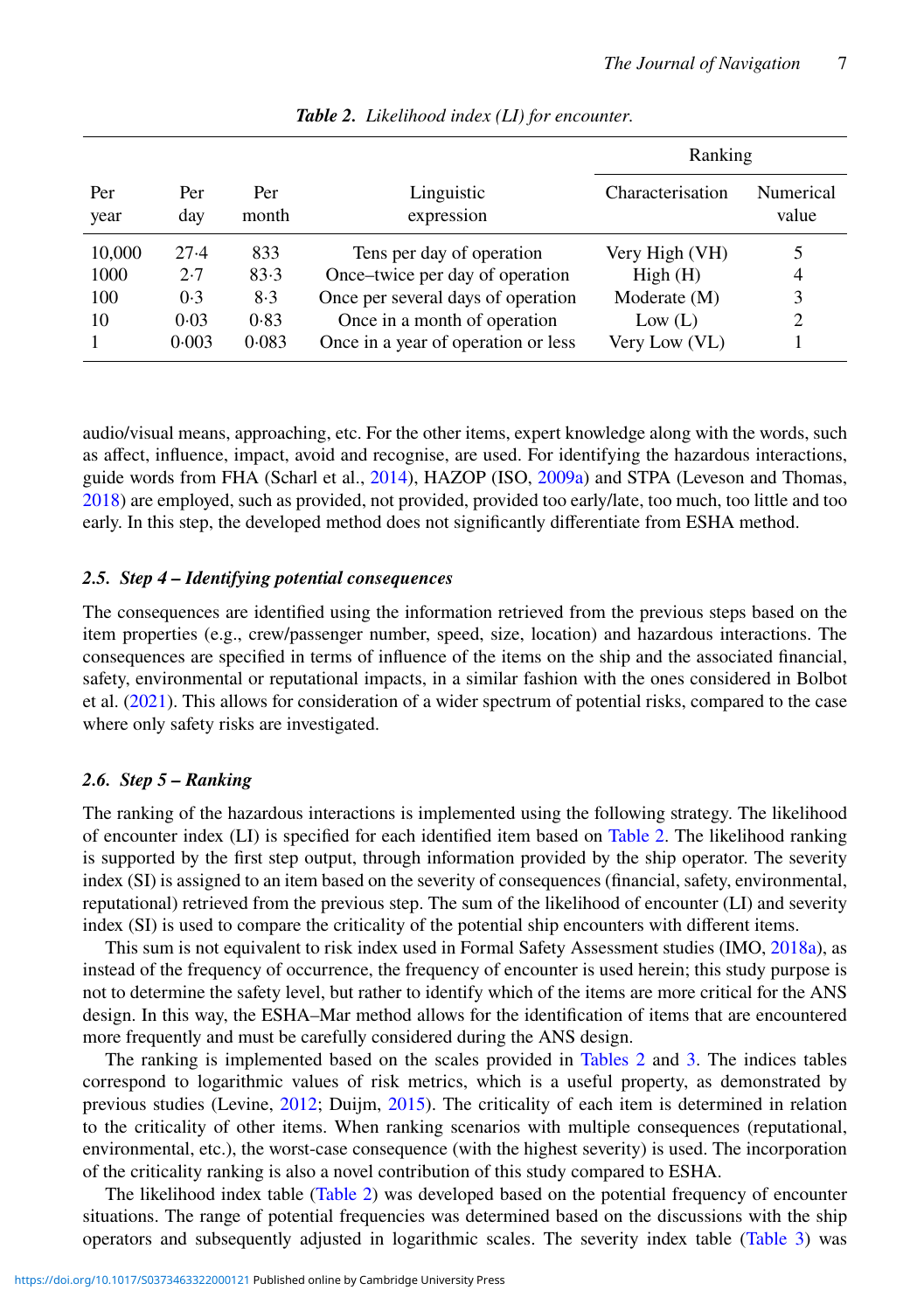|             |            |              |                                     | Ranking          |                    |
|-------------|------------|--------------|-------------------------------------|------------------|--------------------|
| Per<br>year | Per<br>day | Per<br>month | Linguistic<br>expression            | Characterisation | Numerical<br>value |
| 10,000      | $27-4$     | 833          | Tens per day of operation           | Very High (VH)   | 5                  |
| 1000        | 2.7        | 83.3         | Once-twice per day of operation     | High(H)          | 4                  |
| 100         | 0.3        | 8.3          | Once per several days of operation  | Moderate (M)     | 3                  |
| 10          | 0.03       | 0.83         | Once in a month of operation        | Low $(L)$        | 2                  |
|             | 0.003      | 0.083        | Once in a year of operation or less | Very Low (VL)    |                    |

<span id="page-6-0"></span>*Table 2. Likelihood index (LI) for encounter.*

audio/visual means, approaching, etc. For the other items, expert knowledge along with the words, such as affect, influence, impact, avoid and recognise, are used. For identifying the hazardous interactions, guide words from FHA (Scharl et al., [2014\)](#page-20-22), HAZOP (ISO, [2009a\)](#page-19-23) and STPA (Leveson and Thomas, [2018\)](#page-19-19) are employed, such as provided, not provided, provided too early/late, too much, too little and too early. In this step, the developed method does not significantly differentiate from ESHA method.

### *2.5. Step 4 – Identifying potential consequences*

The consequences are identified using the information retrieved from the previous steps based on the item properties (e.g., crew/passenger number, speed, size, location) and hazardous interactions. The consequences are specified in terms of influence of the items on the ship and the associated financial, safety, environmental or reputational impacts, in a similar fashion with the ones considered in Bolbot et al. [\(2021\)](#page-18-3). This allows for consideration of a wider spectrum of potential risks, compared to the case where only safety risks are investigated.

# *2.6. Step 5 – Ranking*

The ranking of the hazardous interactions is implemented using the following strategy. The likelihood of encounter index (LI) is specified for each identified item based on [Table 2.](#page-6-0) The likelihood ranking is supported by the first step output, through information provided by the ship operator. The severity index (SI) is assigned to an item based on the severity of consequences (financial, safety, environmental, reputational) retrieved from the previous step. The sum of the likelihood of encounter (LI) and severity index (SI) is used to compare the criticality of the potential ship encounters with different items.

This sum is not equivalent to risk index used in Formal Safety Assessment studies (IMO, [2018a\)](#page-19-24), as instead of the frequency of occurrence, the frequency of encounter is used herein; this study purpose is not to determine the safety level, but rather to identify which of the items are more critical for the ANS design. In this way, the ESHA–Mar method allows for the identification of items that are encountered more frequently and must be carefully considered during the ANS design.

The ranking is implemented based on the scales provided in [Tables 2](#page-6-0) and [3.](#page-7-0) The indices tables correspond to logarithmic values of risk metrics, which is a useful property, as demonstrated by previous studies (Levine, [2012;](#page-19-25) Duijm, [2015\)](#page-19-26). The criticality of each item is determined in relation to the criticality of other items. When ranking scenarios with multiple consequences (reputational, environmental, etc.), the worst-case consequence (with the highest severity) is used. The incorporation of the criticality ranking is also a novel contribution of this study compared to ESHA.

The likelihood index table [\(Table 2\)](#page-6-0) was developed based on the potential frequency of encounter situations. The range of potential frequencies was determined based on the discussions with the ship operators and subsequently adjusted in logarithmic scales. The severity index table [\(Table 3\)](#page-7-0) was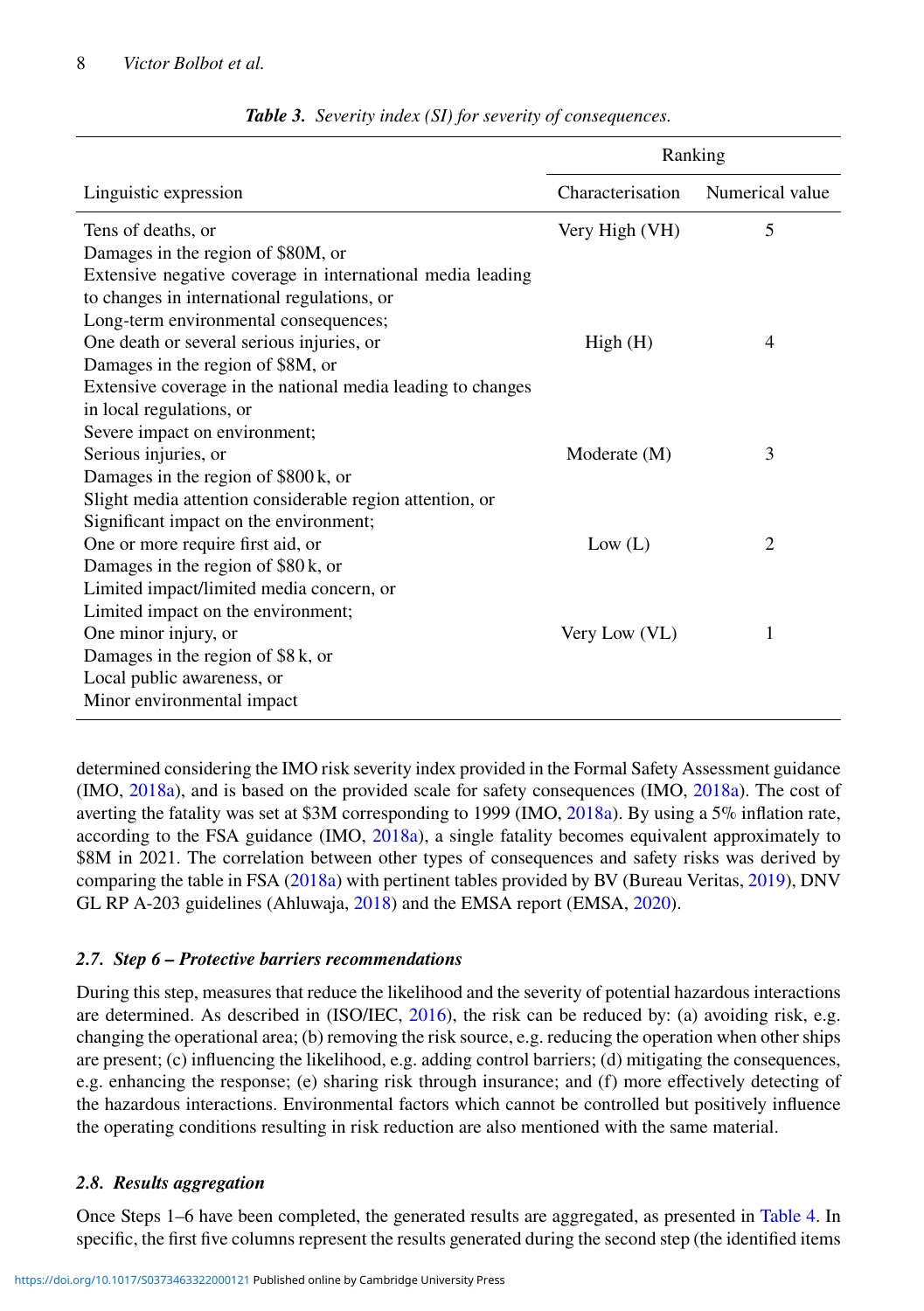|                                                             | Ranking          |                 |  |  |
|-------------------------------------------------------------|------------------|-----------------|--|--|
| Linguistic expression                                       | Characterisation | Numerical value |  |  |
| Tens of deaths, or                                          | Very High (VH)   | 5               |  |  |
| Damages in the region of \$80M, or                          |                  |                 |  |  |
| Extensive negative coverage in international media leading  |                  |                 |  |  |
| to changes in international regulations, or                 |                  |                 |  |  |
| Long-term environmental consequences;                       |                  |                 |  |  |
| One death or several serious injuries, or                   | High(H)          | 4               |  |  |
| Damages in the region of \$8M, or                           |                  |                 |  |  |
| Extensive coverage in the national media leading to changes |                  |                 |  |  |
| in local regulations, or                                    |                  |                 |  |  |
| Severe impact on environment;                               |                  |                 |  |  |
| Serious injuries, or                                        | Moderate (M)     | 3               |  |  |
| Damages in the region of \$800 k, or                        |                  |                 |  |  |
| Slight media attention considerable region attention, or    |                  |                 |  |  |
| Significant impact on the environment;                      |                  |                 |  |  |
| One or more require first aid, or                           | Low (L)          | $\overline{2}$  |  |  |
| Damages in the region of $$80k$ , or                        |                  |                 |  |  |
| Limited impact/limited media concern, or                    |                  |                 |  |  |
| Limited impact on the environment;                          |                  |                 |  |  |
| One minor injury, or                                        | Very Low (VL)    | 1               |  |  |
| Damages in the region of $$8k$ , or                         |                  |                 |  |  |
| Local public awareness, or                                  |                  |                 |  |  |
| Minor environmental impact                                  |                  |                 |  |  |

<span id="page-7-0"></span>

|  |  |  |  |  |  | Table 3. Severity index (SI) for severity of consequences. |
|--|--|--|--|--|--|------------------------------------------------------------|
|--|--|--|--|--|--|------------------------------------------------------------|

determined considering the IMO risk severity index provided in the Formal Safety Assessment guidance (IMO, [2018a\)](#page-19-24), and is based on the provided scale for safety consequences (IMO, [2018a\)](#page-19-24). The cost of averting the fatality was set at \$3M corresponding to 1999 (IMO, [2018a\)](#page-19-24). By using a 5% inflation rate, according to the FSA guidance (IMO, [2018a\)](#page-19-24), a single fatality becomes equivalent approximately to \$8M in 2021. The correlation between other types of consequences and safety risks was derived by comparing the table in FSA [\(2018a\)](#page-19-24) with pertinent tables provided by BV (Bureau Veritas, [2019\)](#page-19-27), DNV GL RP A-203 guidelines (Ahluwaja, [2018\)](#page-18-9) and the EMSA report (EMSA, [2020\)](#page-19-28).

# *2.7. Step 6 – Protective barriers recommendations*

During this step, measures that reduce the likelihood and the severity of potential hazardous interactions are determined. As described in (ISO/IEC, [2016\)](#page-19-29), the risk can be reduced by: (a) avoiding risk, e.g. changing the operational area; (b) removing the risk source, e.g. reducing the operation when other ships are present; (c) influencing the likelihood, e.g. adding control barriers; (d) mitigating the consequences, e.g. enhancing the response; (e) sharing risk through insurance; and (f) more effectively detecting of the hazardous interactions. Environmental factors which cannot be controlled but positively influence the operating conditions resulting in risk reduction are also mentioned with the same material.

# *2.8. Results aggregation*

Once Steps 1–6 have been completed, the generated results are aggregated, as presented in [Table 4.](#page-8-0) In specific, the first five columns represent the results generated during the second step (the identified items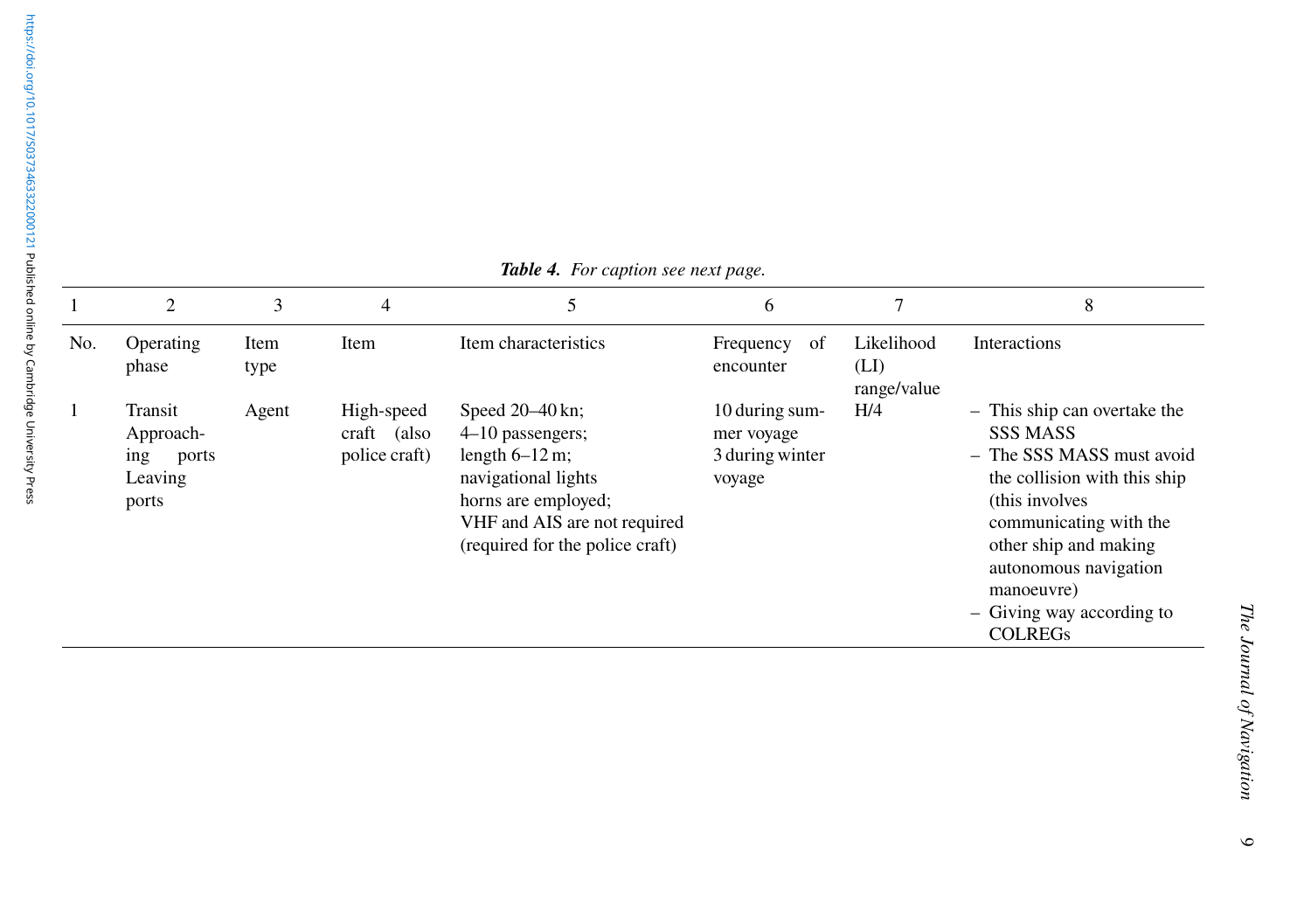|     | $\overline{2}$                                           | 3            | $\overline{4}$                             |                                                                                                                                                                              | 6                                                         |                                   | 8                                                                                                                                                                                                                                                                        |
|-----|----------------------------------------------------------|--------------|--------------------------------------------|------------------------------------------------------------------------------------------------------------------------------------------------------------------------------|-----------------------------------------------------------|-----------------------------------|--------------------------------------------------------------------------------------------------------------------------------------------------------------------------------------------------------------------------------------------------------------------------|
| No. | Operating<br>phase                                       | Item<br>type | Item                                       | Item characteristics                                                                                                                                                         | Frequency<br>-of<br>encounter                             | Likelihood<br>(LI)<br>range/value | Interactions                                                                                                                                                                                                                                                             |
|     | Transit<br>Approach-<br>ing<br>ports<br>Leaving<br>ports | Agent        | High-speed<br>craft (also<br>police craft) | Speed $20-40$ kn;<br>$4-10$ passengers;<br>length $6-12$ m;<br>navigational lights<br>horns are employed;<br>VHF and AIS are not required<br>(required for the police craft) | 10 during sum-<br>mer voyage<br>3 during winter<br>voyage | H/4                               | - This ship can overtake the<br><b>SSS MASS</b><br>- The SSS MASS must avoid<br>the collision with this ship<br>(this involves)<br>communicating with the<br>other ship and making<br>autonomous navigation<br>manoeuvre)<br>- Giving way according to<br><b>COLREGS</b> |

#### <span id="page-8-0"></span>*Table 4. For caption see next page.*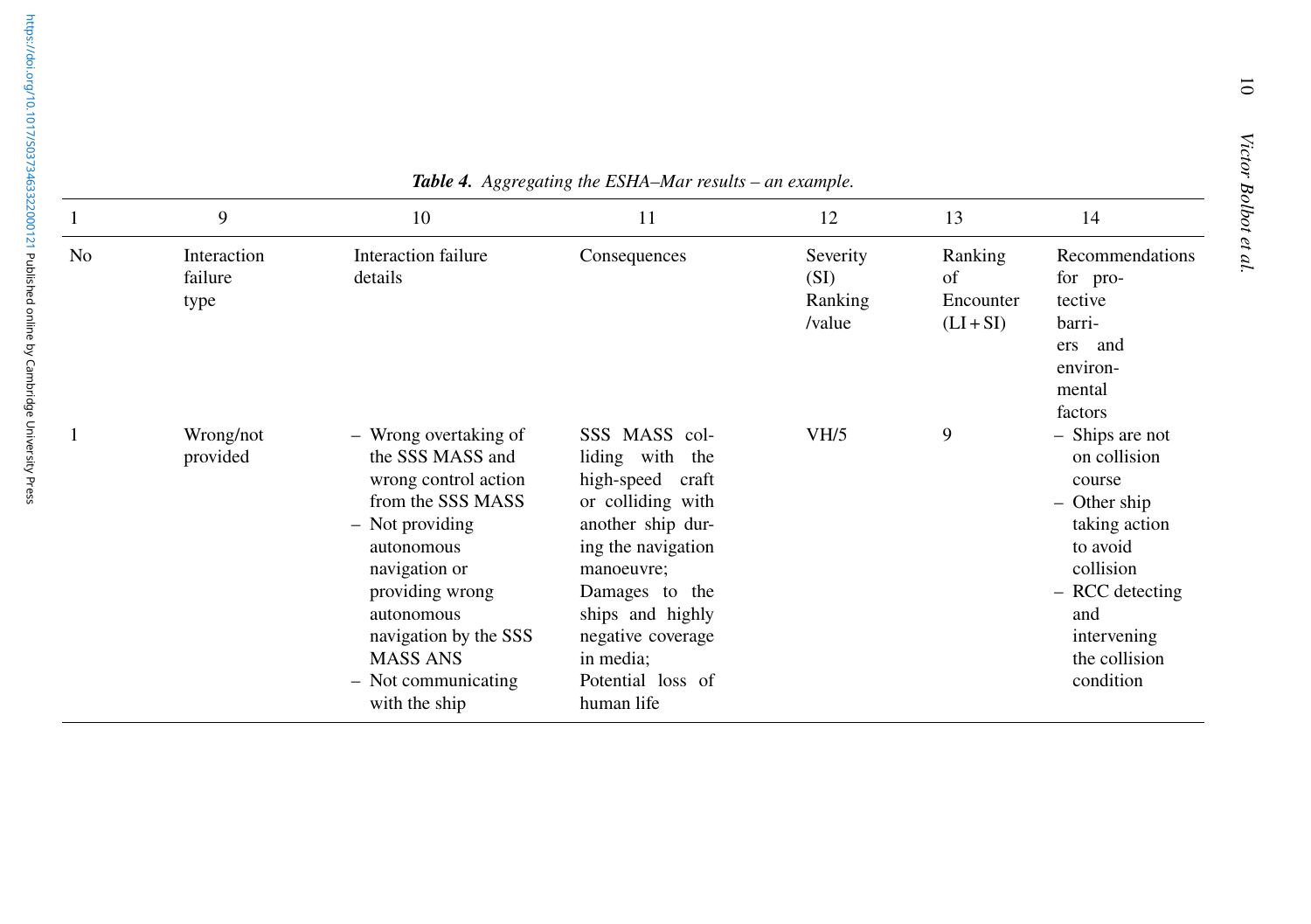<https://doi.org/10.1017/S0373463322000121>Published online by Cambridge University Press

|    | 9                              | 10                                                                                                                                                                                                                                                            | 11                                                                                                                                                                                                                                               | 12                                    | 13                                        | 14                                                                                                                                                                         |
|----|--------------------------------|---------------------------------------------------------------------------------------------------------------------------------------------------------------------------------------------------------------------------------------------------------------|--------------------------------------------------------------------------------------------------------------------------------------------------------------------------------------------------------------------------------------------------|---------------------------------------|-------------------------------------------|----------------------------------------------------------------------------------------------------------------------------------------------------------------------------|
| No | Interaction<br>failure<br>type | Interaction failure<br>details                                                                                                                                                                                                                                | Consequences                                                                                                                                                                                                                                     | Severity<br>(SI)<br>Ranking<br>/value | Ranking<br>of<br>Encounter<br>$(LI + SI)$ | Recommendations<br>for pro-<br>tective<br>barri-<br>and<br>ers<br>environ-<br>mental<br>factors                                                                            |
|    | Wrong/not<br>provided          | - Wrong overtaking of<br>the SSS MASS and<br>wrong control action<br>from the SSS MASS<br>- Not providing<br>autonomous<br>navigation or<br>providing wrong<br>autonomous<br>navigation by the SSS<br><b>MASS ANS</b><br>- Not communicating<br>with the ship | SSS MASS col-<br>liding with the<br>high-speed<br>craft<br>or colliding with<br>another ship dur-<br>ing the navigation<br>manoeuvre;<br>Damages to the<br>ships and highly<br>negative coverage<br>in media;<br>Potential loss of<br>human life | VH/5                                  | 9                                         | - Ships are not<br>on collision<br>course<br>- Other ship<br>taking action<br>to avoid<br>collision<br>- RCC detecting<br>and<br>intervening<br>the collision<br>condition |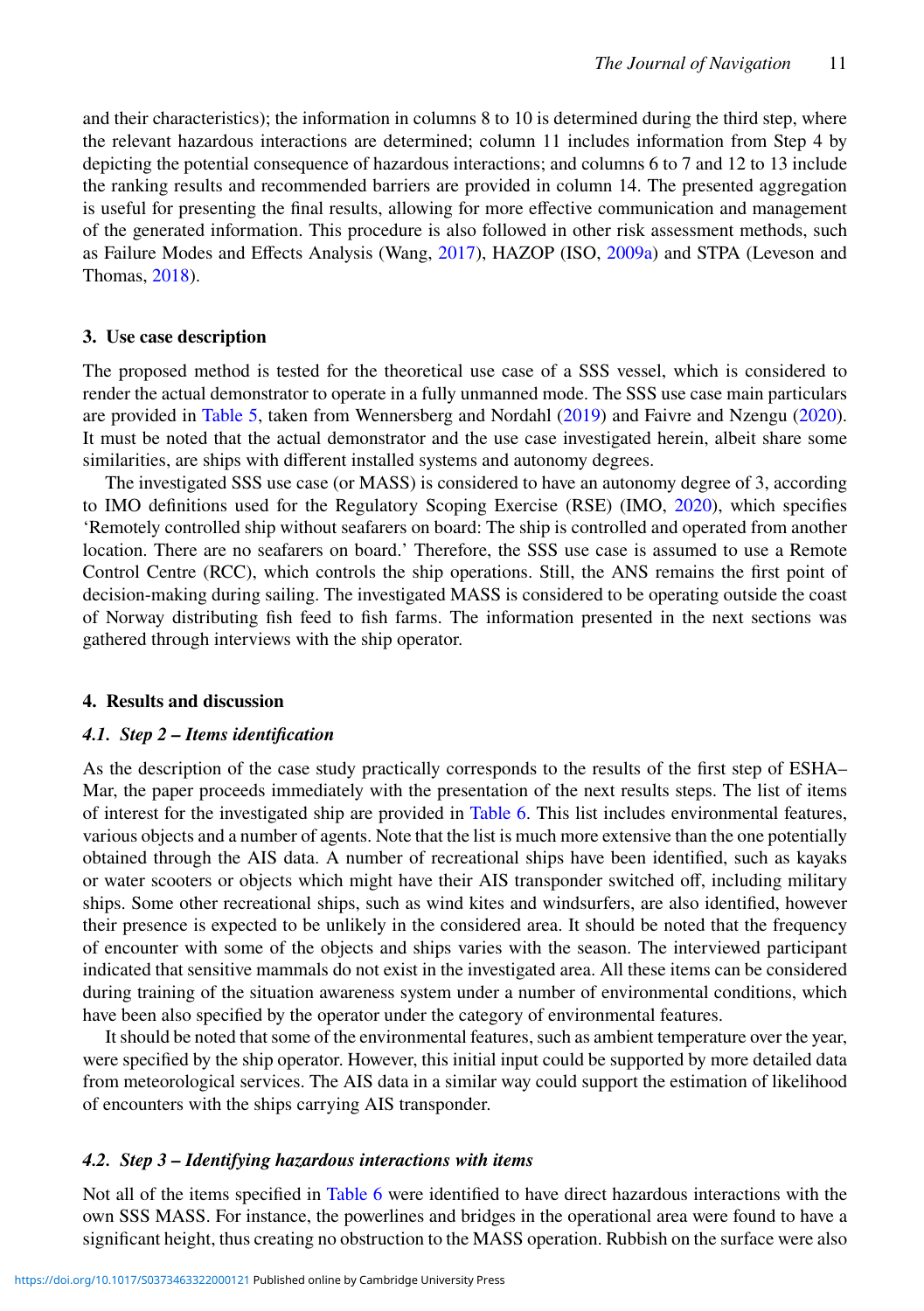and their characteristics); the information in columns 8 to 10 is determined during the third step, where the relevant hazardous interactions are determined; column 11 includes information from Step 4 by depicting the potential consequence of hazardous interactions; and columns 6 to 7 and 12 to 13 include the ranking results and recommended barriers are provided in column 14. The presented aggregation is useful for presenting the final results, allowing for more effective communication and management of the generated information. This procedure is also followed in other risk assessment methods, such as Failure Modes and Effects Analysis (Wang, [2017\)](#page-20-23), HAZOP (ISO, [2009a\)](#page-19-23) and STPA (Leveson and Thomas, [2018\)](#page-19-19).

#### <span id="page-10-0"></span>**3. Use case description**

The proposed method is tested for the theoretical use case of a SSS vessel, which is considered to render the actual demonstrator to operate in a fully unmanned mode. The SSS use case main particulars are provided in [Table 5,](#page-11-0) taken from Wennersberg and Nordahl [\(2019\)](#page-20-24) and Faivre and Nzengu [\(2020\)](#page-19-30). It must be noted that the actual demonstrator and the use case investigated herein, albeit share some similarities, are ships with different installed systems and autonomy degrees.

The investigated SSS use case (or MASS) is considered to have an autonomy degree of 3, according to IMO definitions used for the Regulatory Scoping Exercise (RSE) (IMO, [2020\)](#page-19-31), which specifies 'Remotely controlled ship without seafarers on board: The ship is controlled and operated from another location. There are no seafarers on board.' Therefore, the SSS use case is assumed to use a Remote Control Centre (RCC), which controls the ship operations. Still, the ANS remains the first point of decision-making during sailing. The investigated MASS is considered to be operating outside the coast of Norway distributing fish feed to fish farms. The information presented in the next sections was gathered through interviews with the ship operator.

#### <span id="page-10-1"></span>**4. Results and discussion**

### *4.1. Step 2 – Items identification*

As the description of the case study practically corresponds to the results of the first step of ESHA– Mar, the paper proceeds immediately with the presentation of the next results steps. The list of items of interest for the investigated ship are provided in [Table 6.](#page-11-1) This list includes environmental features, various objects and a number of agents. Note that the list is much more extensive than the one potentially obtained through the AIS data. A number of recreational ships have been identified, such as kayaks or water scooters or objects which might have their AIS transponder switched off, including military ships. Some other recreational ships, such as wind kites and windsurfers, are also identified, however their presence is expected to be unlikely in the considered area. It should be noted that the frequency of encounter with some of the objects and ships varies with the season. The interviewed participant indicated that sensitive mammals do not exist in the investigated area. All these items can be considered during training of the situation awareness system under a number of environmental conditions, which have been also specified by the operator under the category of environmental features.

It should be noted that some of the environmental features, such as ambient temperature over the year, were specified by the ship operator. However, this initial input could be supported by more detailed data from meteorological services. The AIS data in a similar way could support the estimation of likelihood of encounters with the ships carrying AIS transponder.

#### *4.2. Step 3 – Identifying hazardous interactions with items*

Not all of the items specified in [Table 6](#page-11-1) were identified to have direct hazardous interactions with the own SSS MASS. For instance, the powerlines and bridges in the operational area were found to have a significant height, thus creating no obstruction to the MASS operation. Rubbish on the surface were also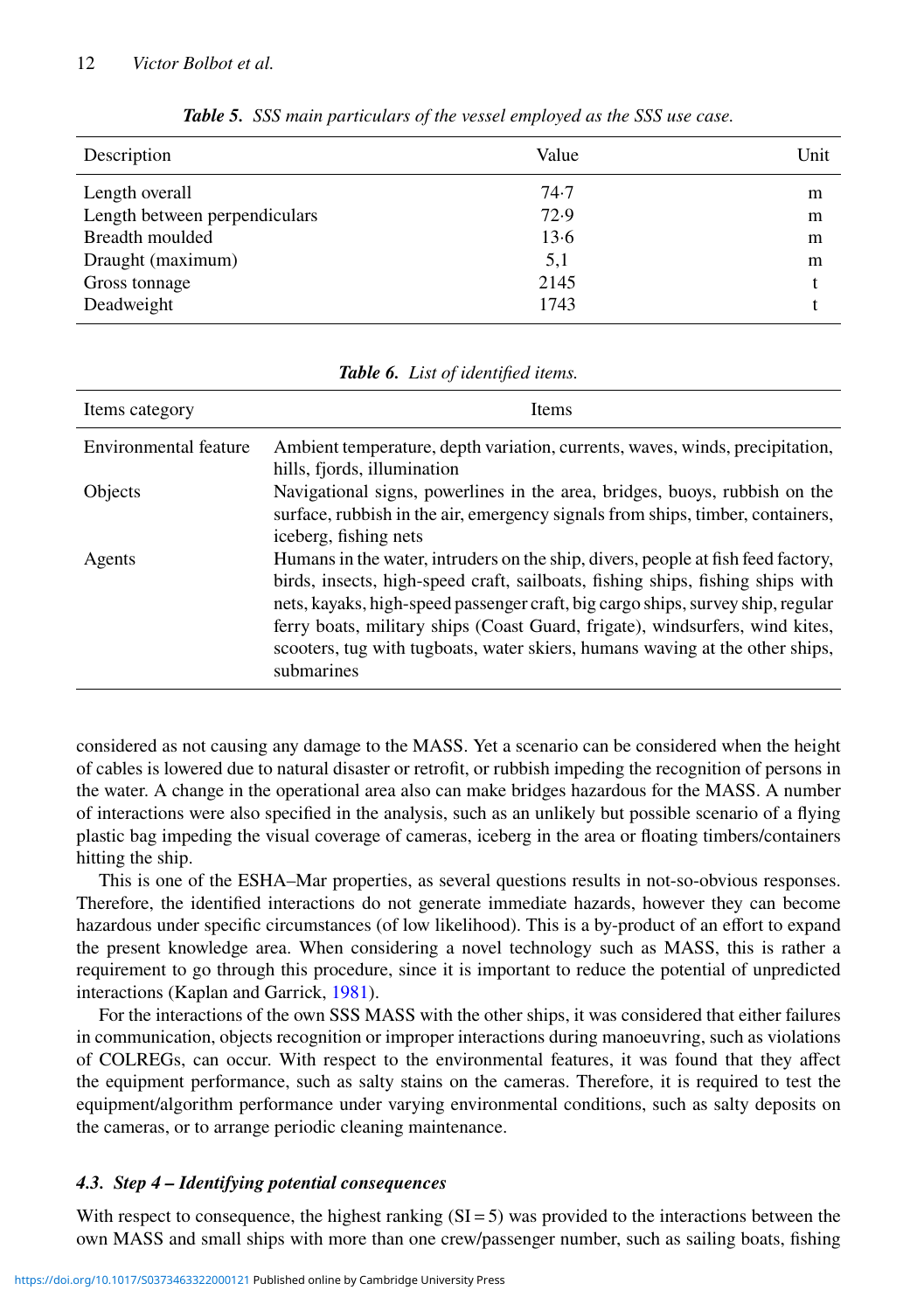| Description                   | Value | Unit |
|-------------------------------|-------|------|
| Length overall                | 74.7  | m    |
| Length between perpendiculars | 72.9  | m    |
| Breadth moulded               | 13.6  | m    |
| Draught (maximum)             | 5,1   | m    |
| Gross tonnage                 | 2145  |      |
| Deadweight                    | 1743  |      |

<span id="page-11-0"></span>*Table 5. SSS main particulars of the vessel employed as the SSS use case.*

| Items category        | <b>Items</b>                                                                     |
|-----------------------|----------------------------------------------------------------------------------|
| Environmental feature | Ambient temperature, depth variation, currents, waves, winds, precipitation,     |
|                       | hills, fjords, illumination                                                      |
| Objects               | Navigational signs, powerlines in the area, bridges, buoys, rubbish on the       |
|                       | surface, rubbish in the air, emergency signals from ships, timber, containers,   |
|                       | iceberg, fishing nets                                                            |
| Agents                | Humans in the water, intruders on the ship, divers, people at fish feed factory, |
|                       | birds, insects, high-speed craft, sailboats, fishing ships, fishing ships with   |
|                       | nets, kayaks, high-speed passenger craft, big cargo ships, survey ship, regular  |
|                       | ferry boats, military ships (Coast Guard, frigate), windsurfers, wind kites,     |
|                       | scooters, tug with tugboats, water skiers, humans waving at the other ships,     |
|                       | submarines                                                                       |

<span id="page-11-1"></span>*Table 6. List of identified items.*

considered as not causing any damage to the MASS. Yet a scenario can be considered when the height of cables is lowered due to natural disaster or retrofit, or rubbish impeding the recognition of persons in the water. A change in the operational area also can make bridges hazardous for the MASS. A number of interactions were also specified in the analysis, such as an unlikely but possible scenario of a flying plastic bag impeding the visual coverage of cameras, iceberg in the area or floating timbers/containers hitting the ship.

This is one of the ESHA–Mar properties, as several questions results in not-so-obvious responses. Therefore, the identified interactions do not generate immediate hazards, however they can become hazardous under specific circumstances (of low likelihood). This is a by-product of an effort to expand the present knowledge area. When considering a novel technology such as MASS, this is rather a requirement to go through this procedure, since it is important to reduce the potential of unpredicted interactions (Kaplan and Garrick, [1981\)](#page-19-6).

For the interactions of the own SSS MASS with the other ships, it was considered that either failures in communication, objects recognition or improper interactions during manoeuvring, such as violations of COLREGs, can occur. With respect to the environmental features, it was found that they affect the equipment performance, such as salty stains on the cameras. Therefore, it is required to test the equipment/algorithm performance under varying environmental conditions, such as salty deposits on the cameras, or to arrange periodic cleaning maintenance.

### *4.3. Step 4 – Identifying potential consequences*

With respect to consequence, the highest ranking  $(SI = 5)$  was provided to the interactions between the own MASS and small ships with more than one crew/passenger number, such as sailing boats, fishing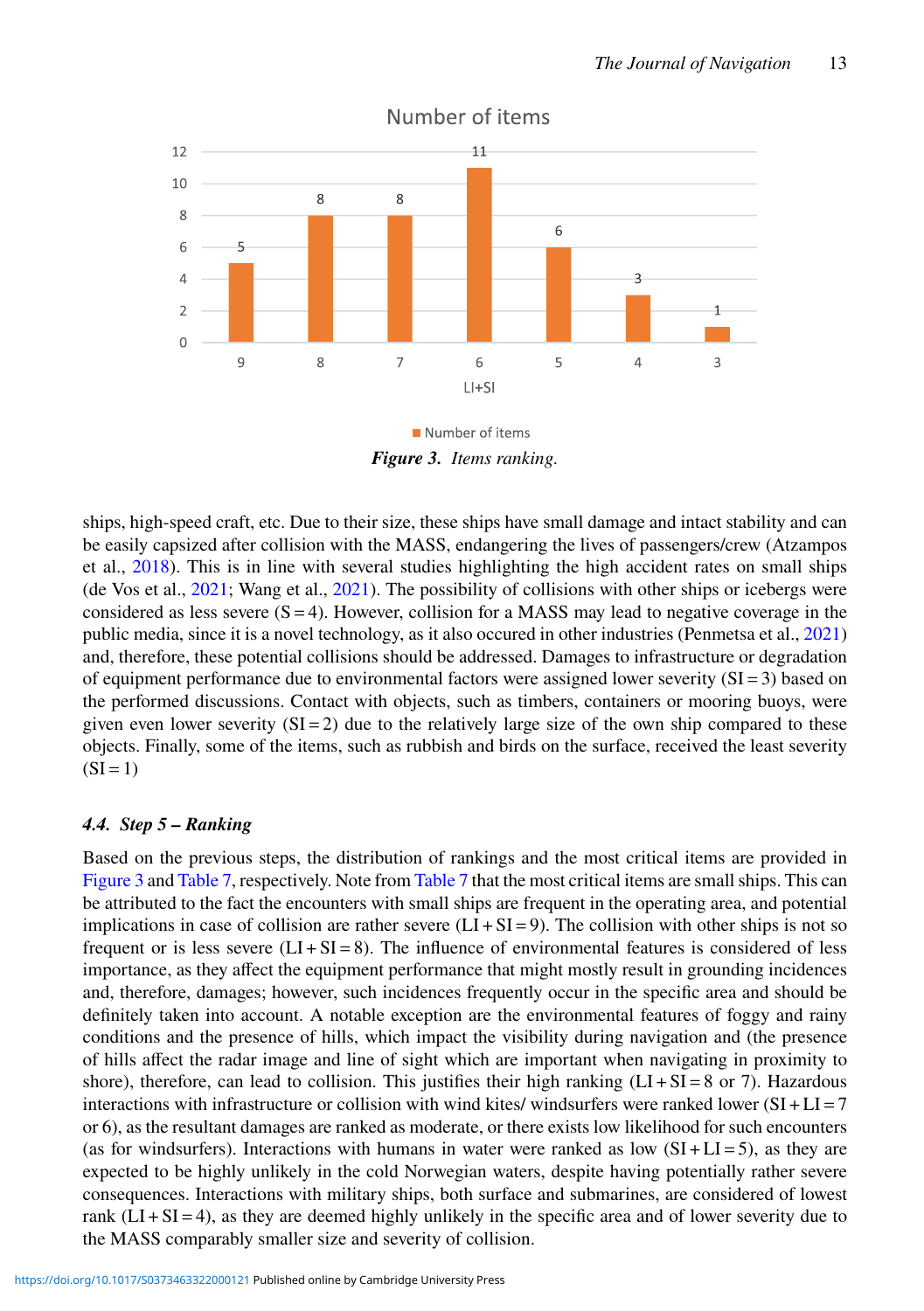

Number of items

<span id="page-12-0"></span>Number of items *Figure 3. Items ranking.*

ships, high-speed craft, etc. Due to their size, these ships have small damage and intact stability and can be easily capsized after collision with the MASS, endangering the lives of passengers/crew (Atzampos et al., [2018\)](#page-18-10). This is in line with several studies highlighting the high accident rates on small ships (de Vos et al., [2021;](#page-19-32) Wang et al., [2021\)](#page-20-25). The possibility of collisions with other ships or icebergs were considered as less severe  $(S = 4)$ . However, collision for a MASS may lead to negative coverage in the public media, since it is a novel technology, as it also occured in other industries (Penmetsa et al., [2021\)](#page-20-26) and, therefore, these potential collisions should be addressed. Damages to infrastructure or degradation of equipment performance due to environmental factors were assigned lower severity (SI = 3) based on the performed discussions. Contact with objects, such as timbers, containers or mooring buoys, were given even lower severity  $(SI = 2)$  due to the relatively large size of the own ship compared to these objects. Finally, some of the items, such as rubbish and birds on the surface, received the least severity  $(SI = 1)$ 

# *4.4. Step 5 – Ranking*

Based on the previous steps, the distribution of rankings and the most critical items are provided in [Figure 3](#page-12-0) and [Table 7,](#page-13-0) respectively. Note from [Table 7](#page-13-0) that the most critical items are small ships. This can be attributed to the fact the encounters with small ships are frequent in the operating area, and potential implications in case of collision are rather severe  $(LI + SI = 9)$ . The collision with other ships is not so frequent or is less severe  $(LI + SI = 8)$ . The influence of environmental features is considered of less importance, as they affect the equipment performance that might mostly result in grounding incidences and, therefore, damages; however, such incidences frequently occur in the specific area and should be definitely taken into account. A notable exception are the environmental features of foggy and rainy conditions and the presence of hills, which impact the visibility during navigation and (the presence of hills affect the radar image and line of sight which are important when navigating in proximity to shore), therefore, can lead to collision. This justifies their high ranking  $(LI + SI = 8$  or 7). Hazardous interactions with infrastructure or collision with wind kites/ windsurfers were ranked lower  $(SI + LI = 7$ or 6), as the resultant damages are ranked as moderate, or there exists low likelihood for such encounters (as for windsurfers). Interactions with humans in water were ranked as low  $(SI + LI = 5)$ , as they are expected to be highly unlikely in the cold Norwegian waters, despite having potentially rather severe consequences. Interactions with military ships, both surface and submarines, are considered of lowest rank  $(LI + SI = 4)$ , as they are deemed highly unlikely in the specific area and of lower severity due to the MASS comparably smaller size and severity of collision.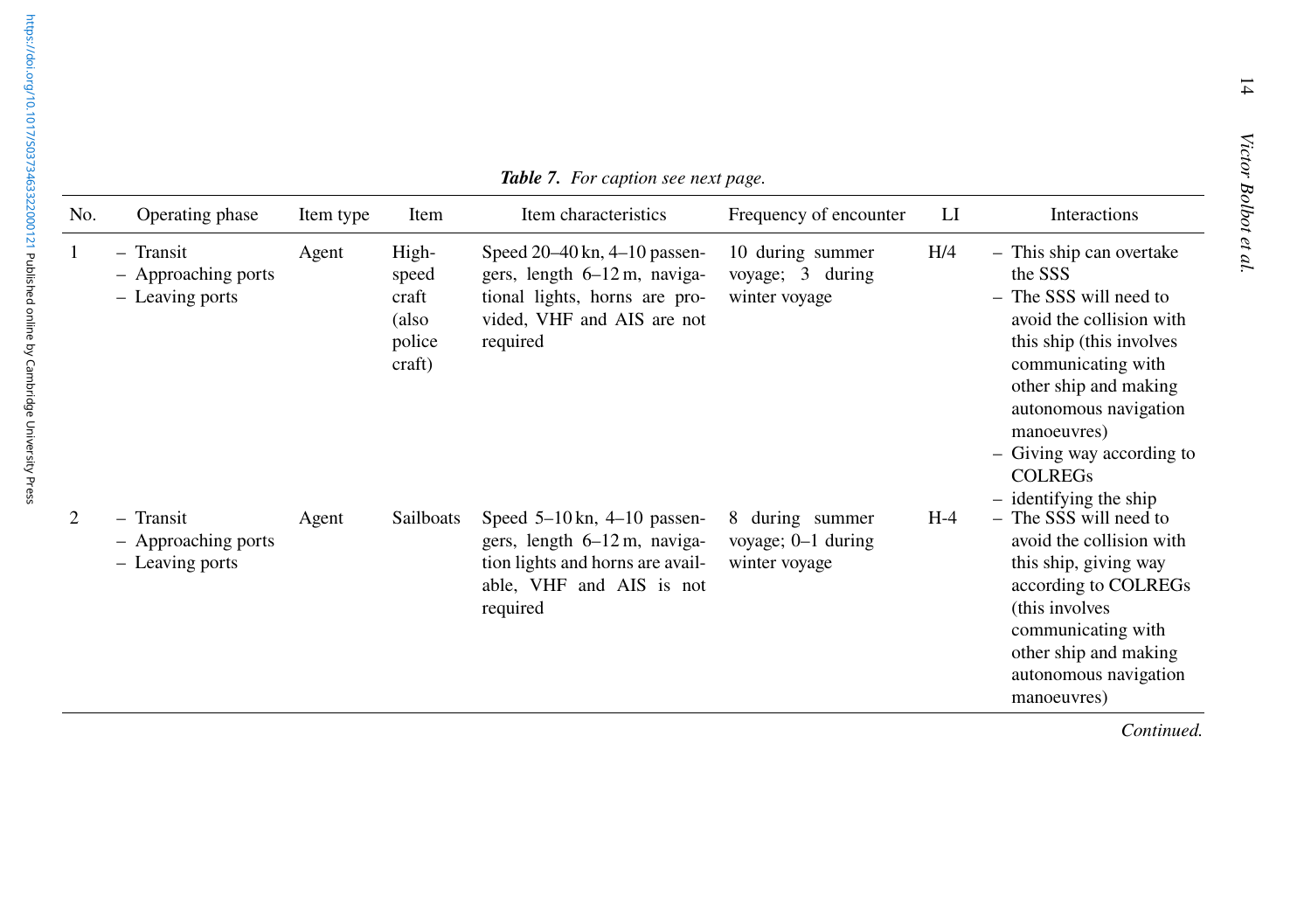| No. | Operating phase                                                               | Item type | Item                                                 | Item characteristics                                                                                                                        | Frequency of encounter                                 | LI    | Interactions                                                                                                                                                                                                                                                                            |
|-----|-------------------------------------------------------------------------------|-----------|------------------------------------------------------|---------------------------------------------------------------------------------------------------------------------------------------------|--------------------------------------------------------|-------|-----------------------------------------------------------------------------------------------------------------------------------------------------------------------------------------------------------------------------------------------------------------------------------------|
|     | - Transit<br>- Approaching ports<br>- Leaving ports                           | Agent     | High-<br>speed<br>craft<br>(also<br>police<br>craft) | Speed $20-40$ kn, $4-10$ passen-<br>gers, length 6–12 m, naviga-<br>tional lights, horns are pro-<br>vided, VHF and AIS are not<br>required | 10 during summer<br>voyage; 3 during<br>winter voyage  | H/4   | - This ship can overtake<br>the SSS<br>- The SSS will need to<br>avoid the collision with<br>this ship (this involves<br>communicating with<br>other ship and making<br>autonomous navigation<br>manoeuvres)<br>- Giving way according to<br><b>COLREGS</b><br>$-$ identifying the ship |
| 2   | Transit<br>$\overline{\phantom{0}}$<br>- Approaching ports<br>- Leaving ports | Agent     | Sailboats                                            | Speed $5-10$ kn, $4-10$ passen-<br>gers, length 6–12 m, naviga-<br>tion lights and horns are avail-<br>able, VHF and AIS is not<br>roquirad | 8 during summer<br>voyage; 0-1 during<br>winter voyage | $H-4$ | - The SSS will need to<br>avoid the collision with<br>this ship, giving way<br>according to COLREGs<br>(this involves)                                                                                                                                                                  |

<span id="page-13-0"></span>

|  | <b>Table 7.</b> For caption see next page. |  |  |  |  |
|--|--------------------------------------------|--|--|--|--|
|--|--------------------------------------------|--|--|--|--|

|   | ttem type | nem                                                  | Tiem characteristics                                                                                                                        | Frequency of encounter                                   | LI    | meractions                                                                                                                                                                                                                                                  |
|---|-----------|------------------------------------------------------|---------------------------------------------------------------------------------------------------------------------------------------------|----------------------------------------------------------|-------|-------------------------------------------------------------------------------------------------------------------------------------------------------------------------------------------------------------------------------------------------------------|
| S | Agent     | High-<br>speed<br>craft<br>(also<br>police<br>craft) | Speed $20-40$ kn, $4-10$ passen-<br>gers, length 6–12 m, naviga-<br>tional lights, horns are pro-<br>vided, VHF and AIS are not<br>required | 10 during summer<br>voyage; 3 during<br>winter voyage    | H/4   | - This ship can overtake<br>the SSS<br>- The SSS will need to<br>avoid the collision with<br>this ship (this involves<br>communicating with<br>other ship and making<br>autonomous navigation<br>manoeuvres)<br>- Giving way according to<br><b>COLREGS</b> |
| S | Agent     | Sailboats                                            | Speed $5-10$ kn, $4-10$ passen-<br>gers, length 6–12 m, naviga-<br>tion lights and horns are avail-<br>able, VHF and AIS is not<br>required | 8 during summer<br>voyage; $0-1$ during<br>winter voyage | $H-4$ | $-$ identifying the ship<br>- The SSS will need to<br>avoid the collision with<br>this ship, giving way<br>according to COLREGs<br>(this involves<br>communicating with<br>other ship and making<br>autonomous navigation<br>manoeuvres)                    |
|   |           |                                                      |                                                                                                                                             |                                                          |       | Continued.                                                                                                                                                                                                                                                  |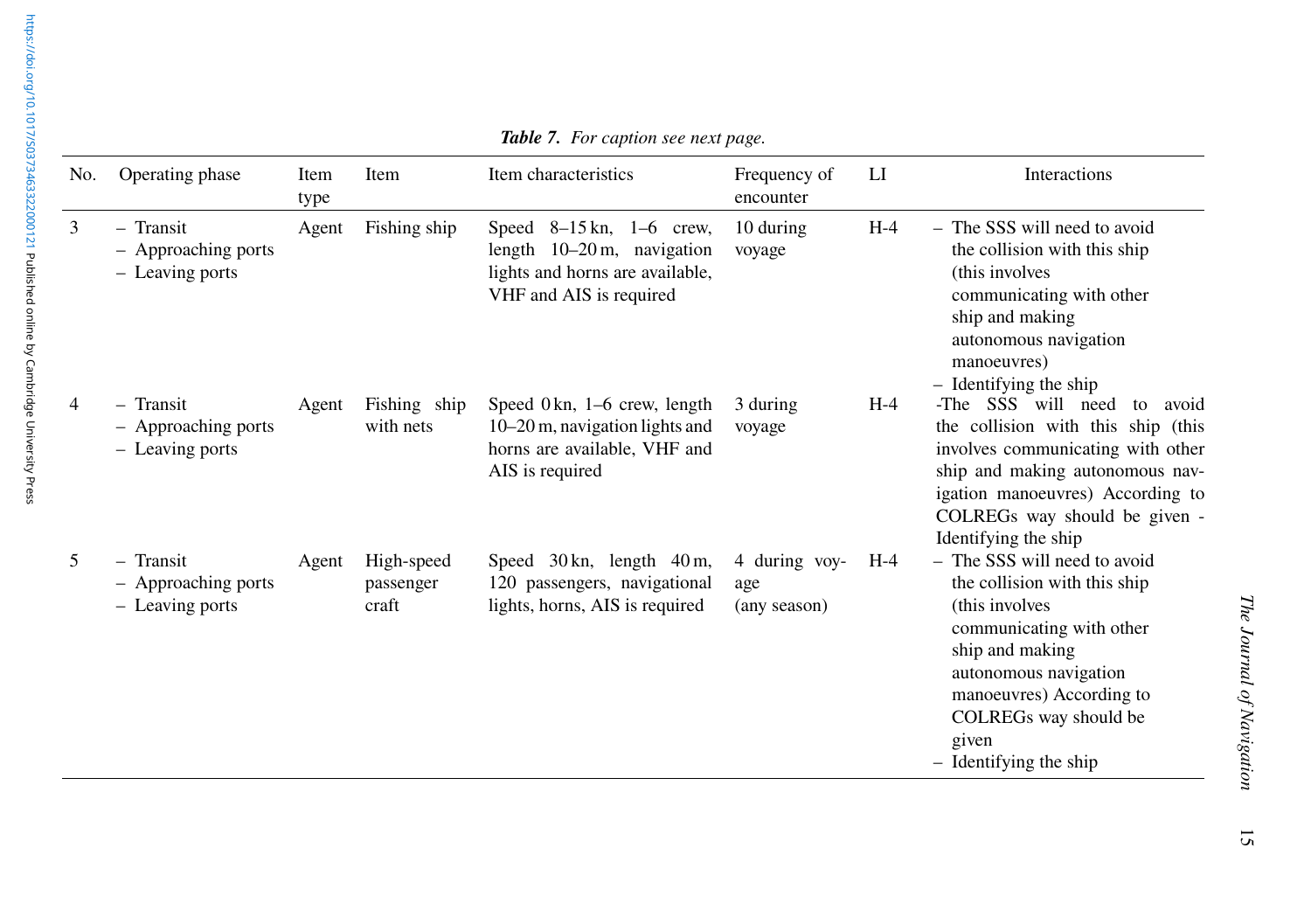| No.            | Operating phase                                       | Item<br>type | Item                             | Item characteristics                                                                                                           | Frequency of<br>encounter            | LI    | Interactions                                                                                                                                                                                                                                     |
|----------------|-------------------------------------------------------|--------------|----------------------------------|--------------------------------------------------------------------------------------------------------------------------------|--------------------------------------|-------|--------------------------------------------------------------------------------------------------------------------------------------------------------------------------------------------------------------------------------------------------|
| 3              | $-$ Transit<br>- Approaching ports<br>- Leaving ports | Agent        | Fishing ship                     | Speed $8-15$ kn, $1-6$ crew,<br>length $10-20$ m, navigation<br>lights and horns are available,<br>VHF and AIS is required     | 10 during<br>voyage                  | $H-4$ | - The SSS will need to avoid<br>the collision with this ship<br>(this involves<br>communicating with other<br>ship and making<br>autonomous navigation<br>manoeuvres)<br>$-$ Identifying the ship                                                |
| $\overline{4}$ | - Transit<br>- Approaching ports<br>- Leaving ports   | Agent        | Fishing ship<br>with nets        | Speed $0 \text{ km}$ , $1-6$ crew, length<br>10–20 m, navigation lights and<br>horns are available, VHF and<br>AIS is required | 3 during<br>voyage                   | $H-4$ | -The SSS will need<br>to<br>avoid<br>the collision with this ship (this<br>involves communicating with other<br>ship and making autonomous nav-<br>igation manoeuvres) According to<br>COLREGs way should be given -<br>Identifying the ship     |
| 5              | - Transit<br>- Approaching ports<br>- Leaving ports   | Agent        | High-speed<br>passenger<br>craft | Speed 30 kn, length 40 m,<br>120 passengers, navigational<br>lights, horns, AIS is required                                    | 4 during voy-<br>age<br>(any season) | H-4   | - The SSS will need to avoid<br>the collision with this ship<br>(this involves<br>communicating with other<br>ship and making<br>autonomous navigation<br>manoeuvres) According to<br>COLREGs way should be<br>given<br>$-$ Identifying the ship |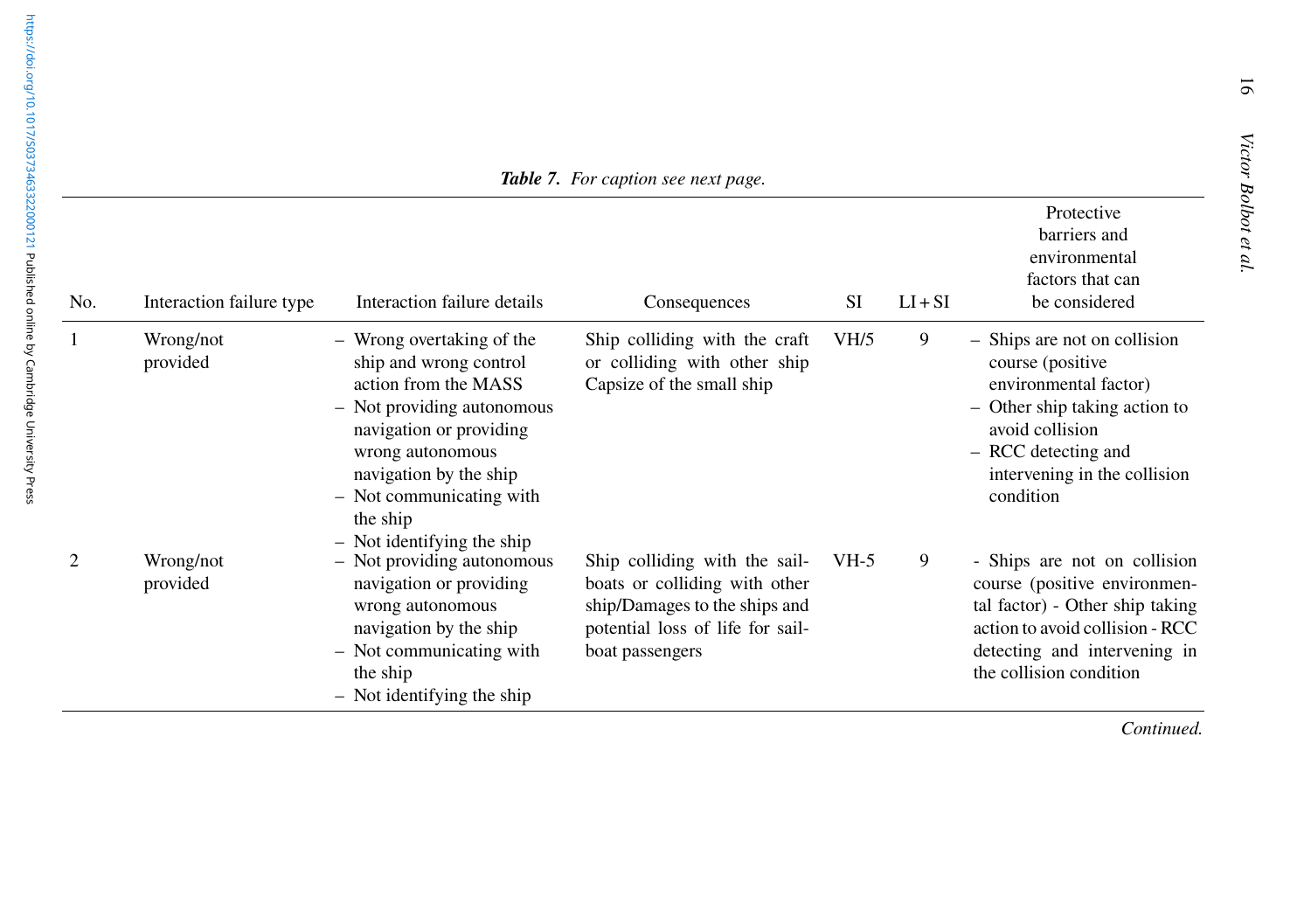| No. | Interaction failure type | Interaction failure details                                                                                                                                                                                                                                | Consequences                                                                                                                                           | <b>SI</b>         | $LI + SI$ | Protective<br>barriers and<br>environmental<br>factors that can<br>be considered                                                                                                                  |
|-----|--------------------------|------------------------------------------------------------------------------------------------------------------------------------------------------------------------------------------------------------------------------------------------------------|--------------------------------------------------------------------------------------------------------------------------------------------------------|-------------------|-----------|---------------------------------------------------------------------------------------------------------------------------------------------------------------------------------------------------|
|     | Wrong/not<br>provided    | - Wrong overtaking of the<br>ship and wrong control<br>action from the MASS<br>- Not providing autonomous<br>navigation or providing<br>wrong autonomous<br>navigation by the ship<br>- Not communicating with<br>the ship<br>$-$ Not identifying the ship | Ship colliding with the craft<br>or colliding with other ship<br>Capsize of the small ship                                                             | V <sub>H</sub> /5 | 9         | - Ships are not on collision<br>course (positive<br>environmental factor)<br>- Other ship taking action to<br>avoid collision<br>- RCC detecting and<br>intervening in the collision<br>condition |
|     | Wrong/not<br>provided    | - Not providing autonomous<br>navigation or providing<br>wrong autonomous<br>navigation by the ship<br>- Not communicating with<br>the ship<br>$-$ Not identifying the ship                                                                                | Ship colliding with the sail-<br>boats or colliding with other<br>ship/Damages to the ships and<br>potential loss of life for sail-<br>boat passengers | $VH-5$            | 9         | - Ships are not on collision<br>course (positive environmen-<br>tal factor) - Other ship taking<br>action to avoid collision - RCC<br>detecting and intervening in<br>the collision condition     |

*Continued.*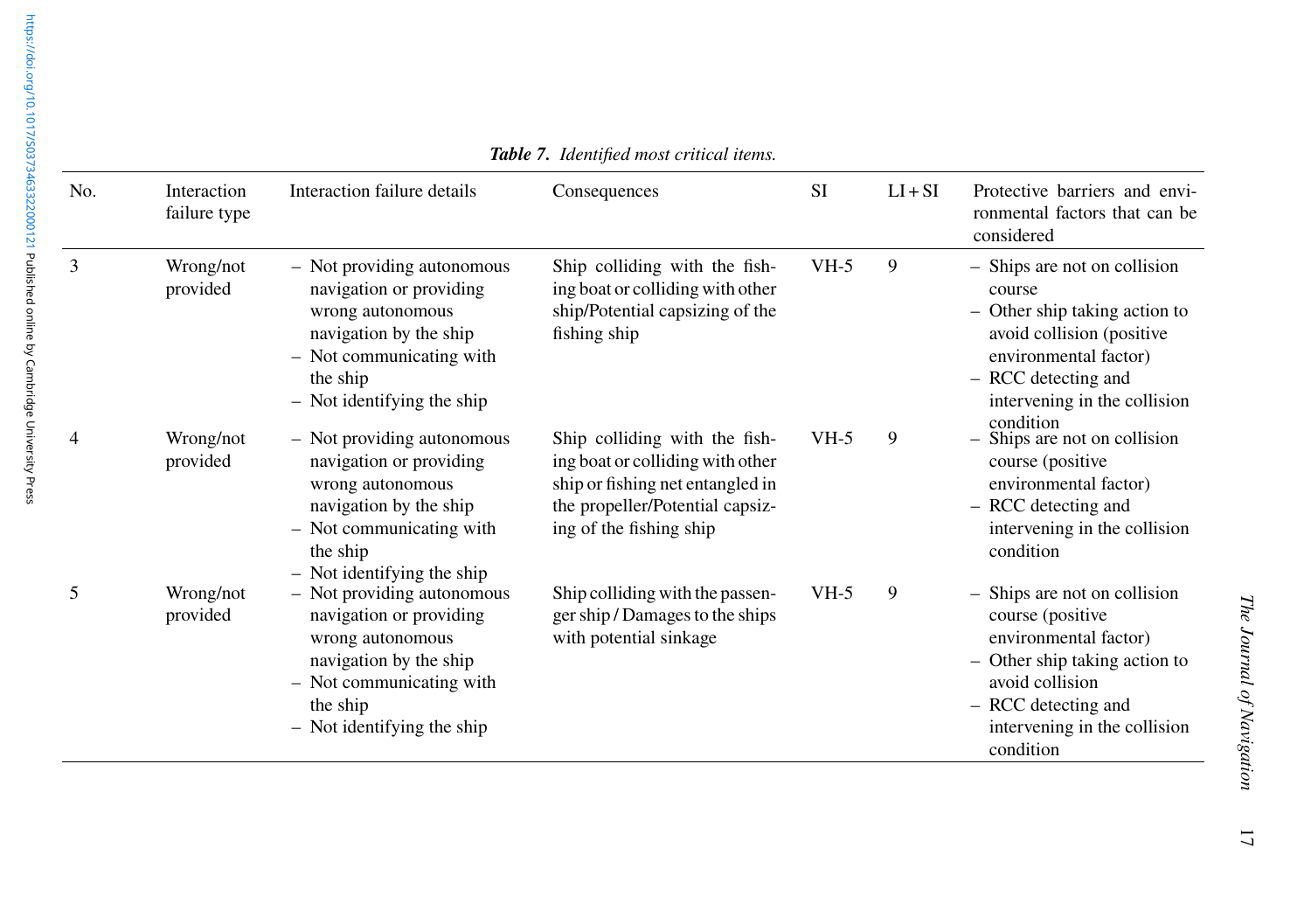|                                                                       | No. | Interaction<br>failure type | Interactio                                                         |
|-----------------------------------------------------------------------|-----|-----------------------------|--------------------------------------------------------------------|
| 1017/S0373463322000121 Published online by Cambridge University Press | 3   | Wrong/not<br>provided       | Not pr<br>naviga<br>wrong<br>naviga<br>Not co<br>the shi<br>Not id |
|                                                                       | 4   | Wrong/not<br>provided       | Not pr<br>naviga<br>wrong<br>naviga<br>Not co<br>the shi<br>Not id |

*Table 7. Identified most critical items.*

| No. | Interaction<br>failure type | Interaction failure details                                                                                                                                                 | Consequences                                                                                                                                                        | <b>SI</b> | $LI + SI$ | Protective barriers and envi-<br>ronmental factors that can be<br>considered                                                                                                                      |
|-----|-----------------------------|-----------------------------------------------------------------------------------------------------------------------------------------------------------------------------|---------------------------------------------------------------------------------------------------------------------------------------------------------------------|-----------|-----------|---------------------------------------------------------------------------------------------------------------------------------------------------------------------------------------------------|
|     | Wrong/not<br>provided       | - Not providing autonomous<br>navigation or providing<br>wrong autonomous<br>navigation by the ship<br>- Not communicating with<br>the ship<br>- Not identifying the ship   | Ship colliding with the fish-<br>ing boat or colliding with other<br>ship/Potential capsizing of the<br>fishing ship                                                | $VH-5$    | 9         | - Ships are not on collision<br>course<br>- Other ship taking action to<br>avoid collision (positive<br>environmental factor)<br>- RCC detecting and<br>intervening in the collision              |
|     | Wrong/not<br>provided       | - Not providing autonomous<br>navigation or providing<br>wrong autonomous<br>navigation by the ship<br>- Not communicating with<br>the ship<br>$-$ Not identifying the ship | Ship colliding with the fish-<br>ing boat or colliding with other<br>ship or fishing net entangled in<br>the propeller/Potential capsiz-<br>ing of the fishing ship | $VH-5$    | 9         | condition<br>Ships are not on collision<br>course (positive<br>environmental factor)<br>- RCC detecting and<br>intervening in the collision<br>condition                                          |
|     | Wrong/not<br>provided       | - Not providing autonomous<br>navigation or providing<br>wrong autonomous<br>navigation by the ship<br>- Not communicating with<br>the ship<br>- Not identifying the ship   | Ship colliding with the passen-<br>ger ship / Damages to the ships<br>with potential sinkage                                                                        | $VH-5$    | 9         | - Ships are not on collision<br>course (positive<br>environmental factor)<br>- Other ship taking action to<br>avoid collision<br>- RCC detecting and<br>intervening in the collision<br>condition |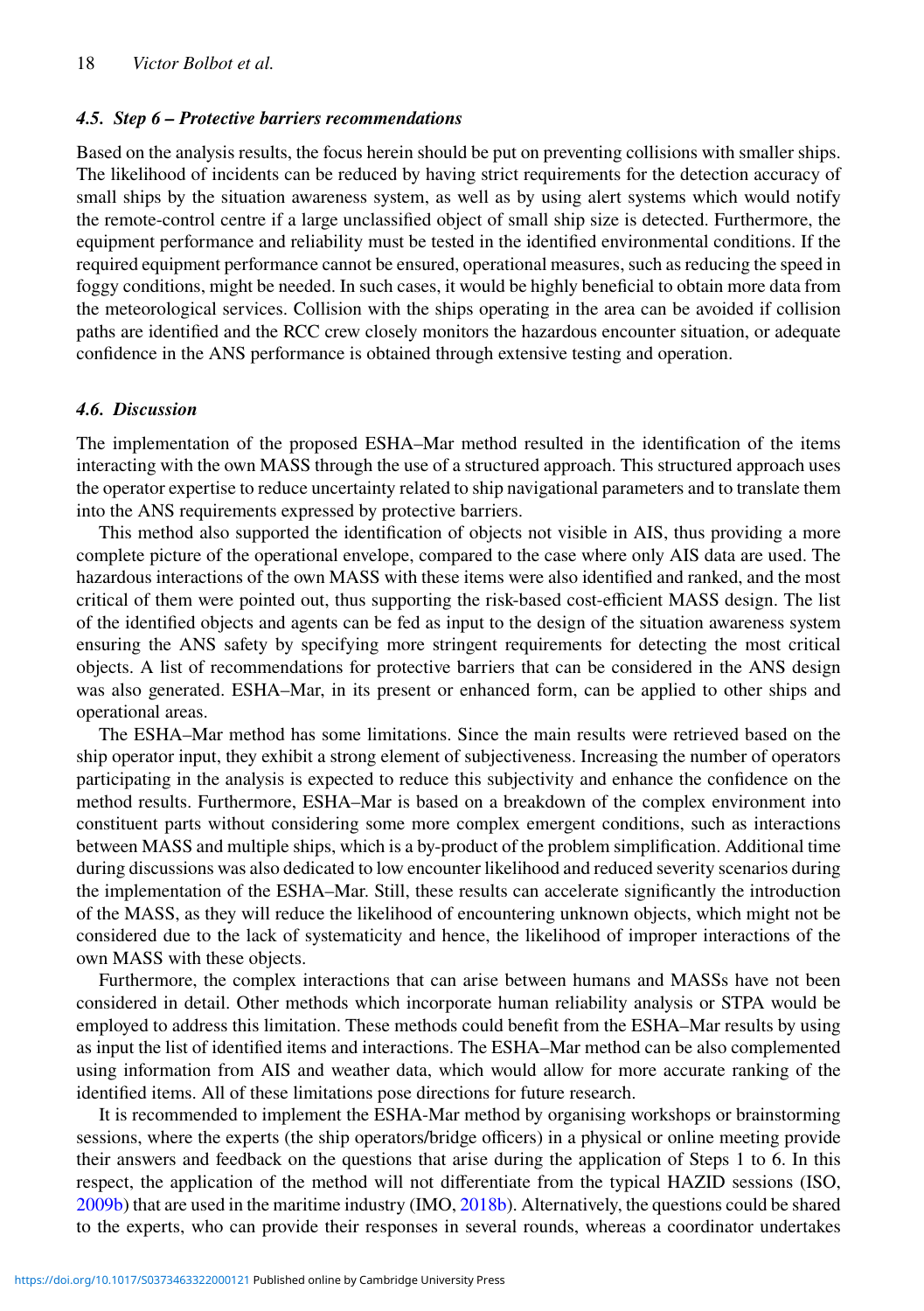### *4.5. Step 6 – Protective barriers recommendations*

Based on the analysis results, the focus herein should be put on preventing collisions with smaller ships. The likelihood of incidents can be reduced by having strict requirements for the detection accuracy of small ships by the situation awareness system, as well as by using alert systems which would notify the remote-control centre if a large unclassified object of small ship size is detected. Furthermore, the equipment performance and reliability must be tested in the identified environmental conditions. If the required equipment performance cannot be ensured, operational measures, such as reducing the speed in foggy conditions, might be needed. In such cases, it would be highly beneficial to obtain more data from the meteorological services. Collision with the ships operating in the area can be avoided if collision paths are identified and the RCC crew closely monitors the hazardous encounter situation, or adequate confidence in the ANS performance is obtained through extensive testing and operation.

### *4.6. Discussion*

The implementation of the proposed ESHA–Mar method resulted in the identification of the items interacting with the own MASS through the use of a structured approach. This structured approach uses the operator expertise to reduce uncertainty related to ship navigational parameters and to translate them into the ANS requirements expressed by protective barriers.

This method also supported the identification of objects not visible in AIS, thus providing a more complete picture of the operational envelope, compared to the case where only AIS data are used. The hazardous interactions of the own MASS with these items were also identified and ranked, and the most critical of them were pointed out, thus supporting the risk-based cost-efficient MASS design. The list of the identified objects and agents can be fed as input to the design of the situation awareness system ensuring the ANS safety by specifying more stringent requirements for detecting the most critical objects. A list of recommendations for protective barriers that can be considered in the ANS design was also generated. ESHA–Mar, in its present or enhanced form, can be applied to other ships and operational areas.

The ESHA–Mar method has some limitations. Since the main results were retrieved based on the ship operator input, they exhibit a strong element of subjectiveness. Increasing the number of operators participating in the analysis is expected to reduce this subjectivity and enhance the confidence on the method results. Furthermore, ESHA–Mar is based on a breakdown of the complex environment into constituent parts without considering some more complex emergent conditions, such as interactions between MASS and multiple ships, which is a by-product of the problem simplification. Additional time during discussions was also dedicated to low encounter likelihood and reduced severity scenarios during the implementation of the ESHA–Mar. Still, these results can accelerate significantly the introduction of the MASS, as they will reduce the likelihood of encountering unknown objects, which might not be considered due to the lack of systematicity and hence, the likelihood of improper interactions of the own MASS with these objects.

Furthermore, the complex interactions that can arise between humans and MASSs have not been considered in detail. Other methods which incorporate human reliability analysis or STPA would be employed to address this limitation. These methods could benefit from the ESHA–Mar results by using as input the list of identified items and interactions. The ESHA–Mar method can be also complemented using information from AIS and weather data, which would allow for more accurate ranking of the identified items. All of these limitations pose directions for future research.

It is recommended to implement the ESHA-Mar method by organising workshops or brainstorming sessions, where the experts (the ship operators/bridge officers) in a physical or online meeting provide their answers and feedback on the questions that arise during the application of Steps 1 to 6. In this respect, the application of the method will not differentiate from the typical HAZID sessions (ISO, [2009b\)](#page-19-17) that are used in the maritime industry (IMO, [2018b\)](#page-19-33). Alternatively, the questions could be shared to the experts, who can provide their responses in several rounds, whereas a coordinator undertakes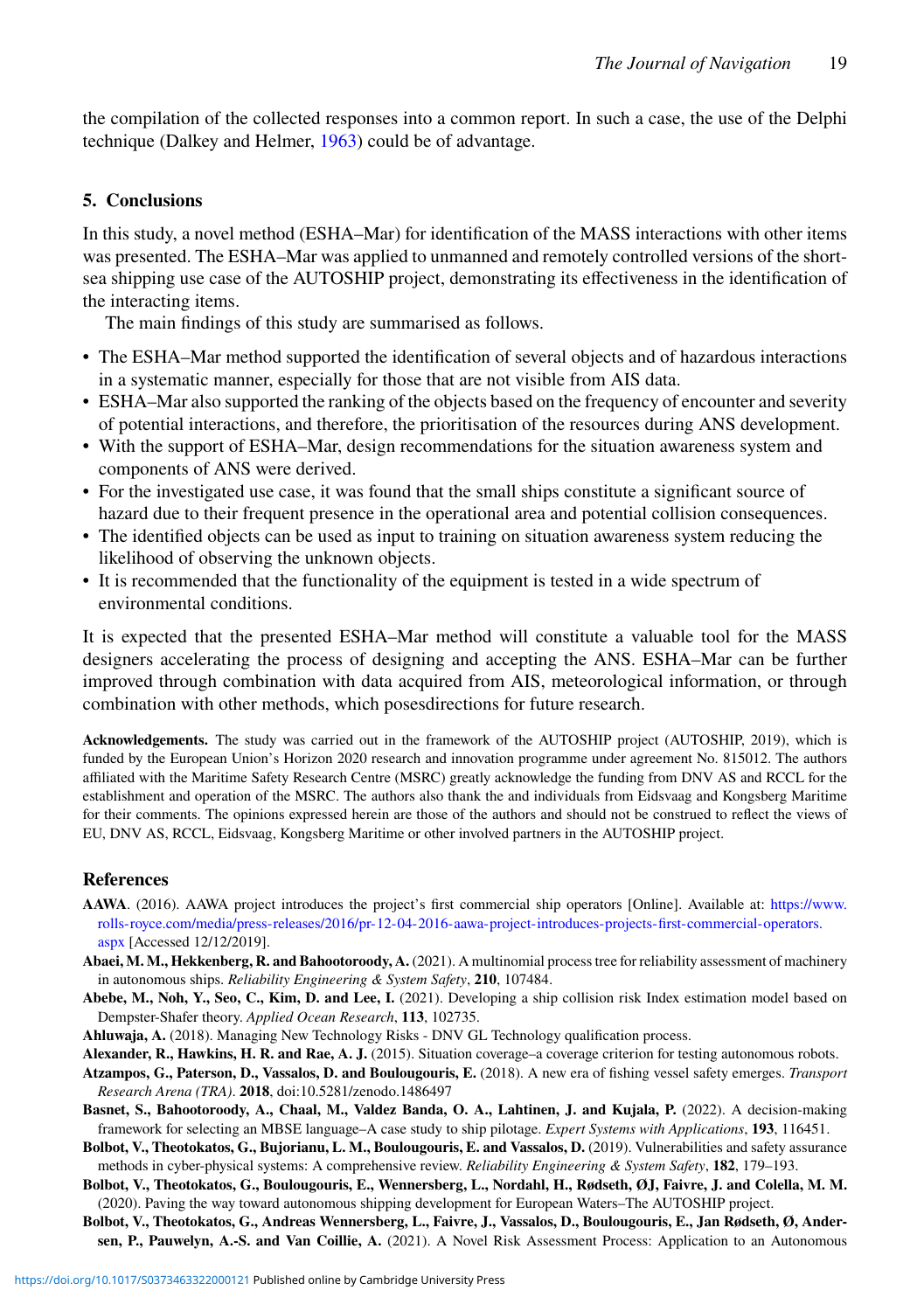the compilation of the collected responses into a common report. In such a case, the use of the Delphi technique (Dalkey and Helmer, [1963\)](#page-19-34) could be of advantage.

### <span id="page-18-8"></span>**5. Conclusions**

In this study, a novel method (ESHA–Mar) for identification of the MASS interactions with other items was presented. The ESHA–Mar was applied to unmanned and remotely controlled versions of the shortsea shipping use case of the AUTOSHIP project, demonstrating its effectiveness in the identification of the interacting items.

The main findings of this study are summarised as follows.

- The ESHA–Mar method supported the identification of several objects and of hazardous interactions in a systematic manner, especially for those that are not visible from AIS data.
- ESHA–Mar also supported the ranking of the objects based on the frequency of encounter and severity of potential interactions, and therefore, the prioritisation of the resources during ANS development.
- With the support of ESHA–Mar, design recommendations for the situation awareness system and components of ANS were derived.
- For the investigated use case, it was found that the small ships constitute a significant source of hazard due to their frequent presence in the operational area and potential collision consequences.
- The identified objects can be used as input to training on situation awareness system reducing the likelihood of observing the unknown objects.
- It is recommended that the functionality of the equipment is tested in a wide spectrum of environmental conditions.

It is expected that the presented ESHA–Mar method will constitute a valuable tool for the MASS designers accelerating the process of designing and accepting the ANS. ESHA–Mar can be further improved through combination with data acquired from AIS, meteorological information, or through combination with other methods, which posesdirections for future research.

**Acknowledgements.** The study was carried out in the framework of the AUTOSHIP project (AUTOSHIP, 2019), which is funded by the European Union's Horizon 2020 research and innovation programme under agreement No. 815012. The authors affiliated with the Maritime Safety Research Centre (MSRC) greatly acknowledge the funding from DNV AS and RCCL for the establishment and operation of the MSRC. The authors also thank the and individuals from Eidsvaag and Kongsberg Maritime for their comments. The opinions expressed herein are those of the authors and should not be construed to reflect the views of EU, DNV AS, RCCL, Eidsvaag, Kongsberg Maritime or other involved partners in the AUTOSHIP project.

### **References**

- <span id="page-18-0"></span>**AAWA**. (2016). AAWA project introduces the project's first commercial ship operators [Online]. Available at: [https://www.](https://www.rolls-royce.com/media/press-releases/2016/pr-12-04-2016-aawa-project-introduces-projects-first-commercial-operators.aspx) [rolls-royce.com/media/press-releases/2016/pr-12-04-2016-aawa-project-introduces-projects-first-commercial-operators.](https://www.rolls-royce.com/media/press-releases/2016/pr-12-04-2016-aawa-project-introduces-projects-first-commercial-operators.aspx) [aspx](https://www.rolls-royce.com/media/press-releases/2016/pr-12-04-2016-aawa-project-introduces-projects-first-commercial-operators.aspx) [Accessed 12/12/2019].
- <span id="page-18-5"></span>**Abaei, M. M., Hekkenberg, R. and Bahootoroody, A.** (2021). A multinomial process tree for reliability assessment of machinery in autonomous ships. *Reliability Engineering & System Safety*, **210**, 107484.
- <span id="page-18-6"></span>**Abebe, M., Noh, Y., Seo, C., Kim, D. and Lee, I.** (2021). Developing a ship collision risk Index estimation model based on Dempster-Shafer theory. *Applied Ocean Research*, **113**, 102735.
- <span id="page-18-9"></span>**Ahluwaja, A.** (2018). Managing New Technology Risks - DNV GL Technology qualification process.
- <span id="page-18-4"></span>**Alexander, R., Hawkins, H. R. and Rae, A. J.** (2015). Situation coverage–a coverage criterion for testing autonomous robots.
- <span id="page-18-10"></span>**Atzampos, G., Paterson, D., Vassalos, D. and Boulougouris, E.** (2018). A new era of fishing vessel safety emerges. *Transport Research Arena (TRA)*. **2018**, doi:10.5281/zenodo.1486497
- <span id="page-18-2"></span>**Basnet, S., Bahootoroody, A., Chaal, M., Valdez Banda, O. A., Lahtinen, J. and Kujala, P.** (2022). A decision-making framework for selecting an MBSE language–A case study to ship pilotage. *Expert Systems with Applications*, **193**, 116451.
- <span id="page-18-7"></span>**Bolbot, V., Theotokatos, G., Bujorianu, L. M., Boulougouris, E. and Vassalos, D.** (2019). Vulnerabilities and safety assurance methods in cyber-physical systems: A comprehensive review. *Reliability Engineering & System Safety*, **182**, 179–193.
- <span id="page-18-1"></span>**Bolbot, V., Theotokatos, G., Boulougouris, E., Wennersberg, L., Nordahl, H., Rødseth, ØJ, Faivre, J. and Colella, M. M.** (2020). Paving the way toward autonomous shipping development for European Waters–The AUTOSHIP project.
- <span id="page-18-3"></span>**Bolbot, V., Theotokatos, G., Andreas Wennersberg, L., Faivre, J., Vassalos, D., Boulougouris, E., Jan Rødseth, Ø, Andersen, P., Pauwelyn, A.-S. and Van Coillie, A.** (2021). A Novel Risk Assessment Process: Application to an Autonomous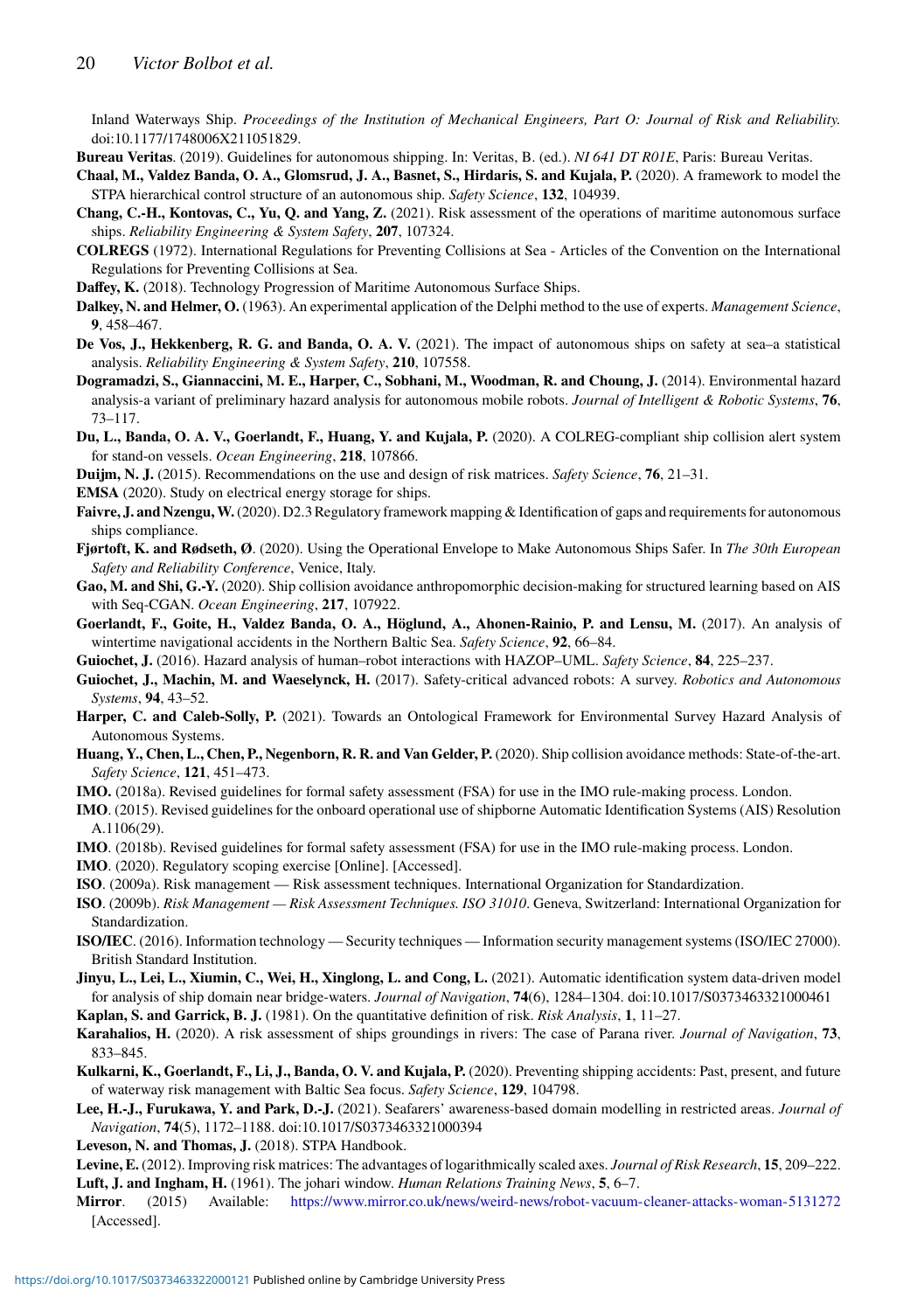Inland Waterways Ship. *Proceedings of the Institution of Mechanical Engineers, Part O: Journal of Risk and Reliability.* doi:10.1177/1748006X211051829.

<span id="page-19-27"></span>**Bureau Veritas**. (2019). Guidelines for autonomous shipping. In: Veritas, B. (ed.). *NI 641 DT R01E*, Paris: Bureau Veritas.

<span id="page-19-1"></span>**Chaal, M., Valdez Banda, O. A., Glomsrud, J. A., Basnet, S., Hirdaris, S. and Kujala, P.** (2020). A framework to model the STPA hierarchical control structure of an autonomous ship. *Safety Science*, **132**, 104939.

- <span id="page-19-2"></span>**Chang, C.-H., Kontovas, C., Yu, Q. and Yang, Z.** (2021). Risk assessment of the operations of maritime autonomous surface ships. *Reliability Engineering & System Safety*, **207**, 107324.
- <span id="page-19-7"></span>**COLREGS** (1972). International Regulations for Preventing Collisions at Sea - Articles of the Convention on the International Regulations for Preventing Collisions at Sea.
- <span id="page-19-0"></span>**Daffey, K.** (2018). Technology Progression of Maritime Autonomous Surface Ships.
- <span id="page-19-34"></span>**Dalkey, N. and Helmer, O.** (1963). An experimental application of the Delphi method to the use of experts. *Management Science*, **9**, 458–467.
- <span id="page-19-32"></span>**De Vos, J., Hekkenberg, R. G. and Banda, O. A. V.** (2021). The impact of autonomous ships on safety at sea–a statistical analysis. *Reliability Engineering & System Safety*, **210**, 107558.
- <span id="page-19-20"></span>**Dogramadzi, S., Giannaccini, M. E., Harper, C., Sobhani, M., Woodman, R. and Choung, J.** (2014). Environmental hazard analysis-a variant of preliminary hazard analysis for autonomous mobile robots. *Journal of Intelligent & Robotic Systems*, **76**, 73–117.
- <span id="page-19-8"></span>**Du, L., Banda, O. A. V., Goerlandt, F., Huang, Y. and Kujala, P.** (2020). A COLREG-compliant ship collision alert system for stand-on vessels. *Ocean Engineering*, **218**, 107866.
- <span id="page-19-26"></span>**Duijm, N. J.** (2015). Recommendations on the use and design of risk matrices. *Safety Science*, **76**, 21–31.
- <span id="page-19-28"></span>**EMSA** (2020). Study on electrical energy storage for ships.
- <span id="page-19-30"></span>Faivre, J. and Nzengu, W. (2020). D2.3 Regulatory framework mapping & Identification of gaps and requirements for autonomous ships compliance.
- <span id="page-19-16"></span>**Fjørtoft, K. and Rødseth, Ø**. (2020). Using the Operational Envelope to Make Autonomous Ships Safer. In *The 30th European Safety and Reliability Conference*, Venice, Italy.
- <span id="page-19-12"></span>**Gao, M. and Shi, G.-Y.** (2020). Ship collision avoidance anthropomorphic decision-making for structured learning based on AIS with Seq-CGAN. *Ocean Engineering*, **217**, 107922.
- <span id="page-19-11"></span>**Goerlandt, F., Goite, H., Valdez Banda, O. A., Höglund, A., Ahonen-Rainio, P. and Lensu, M.** (2017). An analysis of wintertime navigational accidents in the Northern Baltic Sea. *Safety Science*, **92**, 66–84.
- <span id="page-19-22"></span>**Guiochet, J.** (2016). Hazard analysis of human–robot interactions with HAZOP–UML. *Safety Science*, **84**, 225–237.
- <span id="page-19-4"></span>**Guiochet, J., Machin, M. and Waeselynck, H.** (2017). Safety-critical advanced robots: A survey. *Robotics and Autonomous Systems*, **94**, 43–52.
- <span id="page-19-21"></span>**Harper, C. and Caleb-Solly, P.** (2021). Towards an Ontological Framework for Environmental Survey Hazard Analysis of Autonomous Systems.
- <span id="page-19-10"></span>**Huang, Y., Chen, L., Chen, P., Negenborn, R. R. and Van Gelder, P.** (2020). Ship collision avoidance methods: State-of-the-art. *Safety Science*, **121**, 451–473.
- <span id="page-19-24"></span>**IMO.** (2018a). Revised guidelines for formal safety assessment (FSA) for use in the IMO rule-making process. London.
- <span id="page-19-15"></span>**IMO**. (2015). Revised guidelines for the onboard operational use of shipborne Automatic Identification Systems (AIS) Resolution A.1106(29).
- <span id="page-19-33"></span>**IMO**. (2018b). Revised guidelines for formal safety assessment (FSA) for use in the IMO rule-making process. London.
- <span id="page-19-31"></span>**IMO**. (2020). Regulatory scoping exercise [Online]. [Accessed].
- <span id="page-19-23"></span>**ISO**. (2009a). Risk management — Risk assessment techniques. International Organization for Standardization.
- <span id="page-19-17"></span>**ISO**. (2009b). *Risk Management — Risk Assessment Techniques. ISO 31010*. Geneva, Switzerland: International Organization for Standardization.
- <span id="page-19-29"></span>**ISO/IEC**. (2016). Information technology — Security techniques — Information security management systems (ISO/IEC 27000). British Standard Institution.
- <span id="page-19-14"></span>**Jinyu, L., Lei, L., Xiumin, C., Wei, H., Xinglong, L. and Cong, L.** (2021). Automatic identification system data-driven model for analysis of ship domain near bridge-waters. *Journal of Navigation*, **74**(6), 1284–1304. doi:10.1017/S0373463321000461
- <span id="page-19-6"></span>**Kaplan, S. and Garrick, B. J.** (1981). On the quantitative definition of risk. *Risk Analysis*, **1**, 11–27.

<span id="page-19-18"></span>**Karahalios, H.** (2020). A risk assessment of ships groundings in rivers: The case of Parana river. *Journal of Navigation*, **73**, 833–845.

- <span id="page-19-13"></span>**Kulkarni, K., Goerlandt, F., Li, J., Banda, O. V. and Kujala, P.** (2020). Preventing shipping accidents: Past, present, and future of waterway risk management with Baltic Sea focus. *Safety Science*, **129**, 104798.
- <span id="page-19-9"></span>**Lee, H.-J., Furukawa, Y. and Park, D.-J.** (2021). Seafarers' awareness-based domain modelling in restricted areas. *Journal of Navigation*, **74**(5), 1172–1188. doi:10.1017/S0373463321000394
- <span id="page-19-19"></span>**Leveson, N. and Thomas, J.** (2018). STPA Handbook.
- <span id="page-19-25"></span><span id="page-19-5"></span>**Levine, E.** (2012). Improving risk matrices: The advantages of logarithmically scaled axes. *Journal of Risk Research*, **15**, 209–222. **Luft, J. and Ingham, H.** (1961). The johari window. *Human Relations Training News*, **5**, 6–7.
- <span id="page-19-3"></span>**Mirror**. (2015) Available: <https://www.mirror.co.uk/news/weird-news/robot-vacuum-cleaner-attacks-woman-5131272> [Accessed].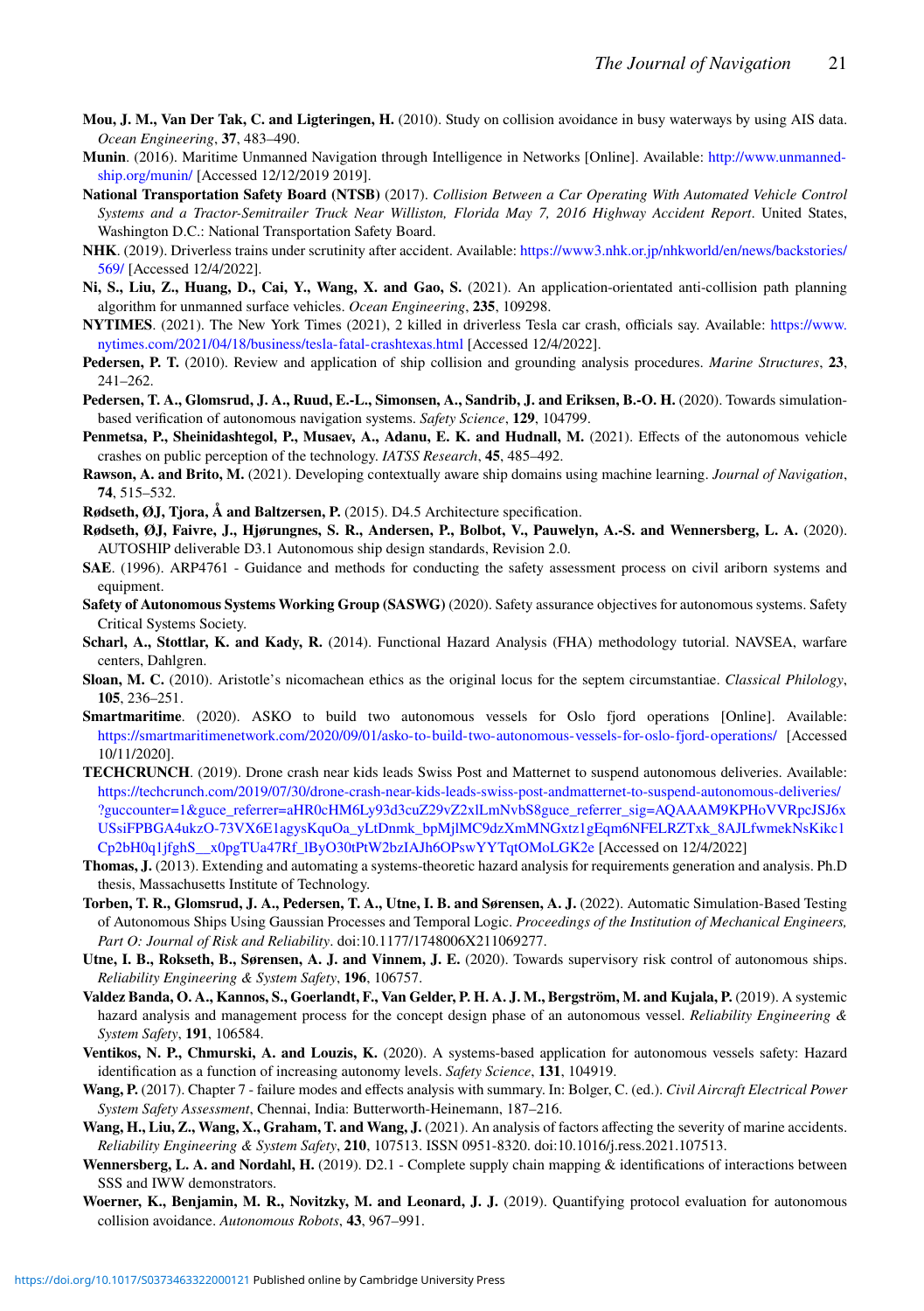- <span id="page-20-13"></span>**Mou, J. M., Van Der Tak, C. and Ligteringen, H.** (2010). Study on collision avoidance in busy waterways by using AIS data. *Ocean Engineering*, **37**, 483–490.
- <span id="page-20-1"></span>**Munin**. (2016). Maritime Unmanned Navigation through Intelligence in Networks [Online]. Available: [http://www.unmanned](http://www.unmanned-ship.org/munin/)[ship.org/munin/](http://www.unmanned-ship.org/munin/) [Accessed 12/12/2019 2019].
- <span id="page-20-7"></span>**National Transportation Safety Board (NTSB)** (2017). *Collision Between a Car Operating With Automated Vehicle Control Systems and a Tractor-Semitrailer Truck Near Williston, Florida May 7, 2016 Highway Accident Report*. United States, Washington D.C.: National Transportation Safety Board.
- <span id="page-20-4"></span>**NHK**. (2019). Driverless trains under scrutinity after accident. Available: [https://www3.nhk.or.jp/nhkworld/en/news/backstories/](https://www3.nhk.or.jp/nhkworld/en/news/backstories/569/) [569/](https://www3.nhk.or.jp/nhkworld/en/news/backstories/569/) [Accessed 12/4/2022].
- <span id="page-20-12"></span>**Ni, S., Liu, Z., Huang, D., Cai, Y., Wang, X. and Gao, S.** (2021). An application-orientated anti-collision path planning algorithm for unmanned surface vehicles. *Ocean Engineering*, **235**, 109298.
- <span id="page-20-6"></span>**NYTIMES**. (2021). The New York Times (2021), 2 killed in driverless Tesla car crash, officials say. Available: [https://www.](https://www.nytimes.com/2021/04/18/business/tesla-fatal-crashtexas.html) [nytimes.com/2021/04/18/business/tesla-fatal-crashtexas.html](https://www.nytimes.com/2021/04/18/business/tesla-fatal-crashtexas.html) [Accessed 12/4/2022].
- <span id="page-20-20"></span>**Pedersen, P. T.** (2010). Review and application of ship collision and grounding analysis procedures. *Marine Structures*, **23**, 241–262.
- <span id="page-20-9"></span>**Pedersen, T. A., Glomsrud, J. A., Ruud, E.-L., Simonsen, A., Sandrib, J. and Eriksen, B.-O. H.** (2020). Towards simulationbased verification of autonomous navigation systems. *Safety Science*, **129**, 104799.
- <span id="page-20-26"></span>**Penmetsa, P., Sheinidashtegol, P., Musaev, A., Adanu, E. K. and Hudnall, M.** (2021). Effects of the autonomous vehicle crashes on public perception of the technology. *IATSS Research*, **45**, 485–492.
- <span id="page-20-14"></span>**Rawson, A. and Brito, M.** (2021). Developing contextually aware ship domains using machine learning. *Journal of Navigation*, **74**, 515–532.
- <span id="page-20-2"></span>**Rødseth, ØJ, Tjora, Å and Baltzersen, P.** (2015). D4.5 Architecture specification.
- <span id="page-20-19"></span>**Rødseth, ØJ, Faivre, J., Hjørungnes, S. R., Andersen, P., Bolbot, V., Pauwelyn, A.-S. and Wennersberg, L. A.** (2020). AUTOSHIP deliverable D3.1 Autonomous ship design standards, Revision 2.0.
- <span id="page-20-15"></span>**SAE**. (1996). ARP4761 - Guidance and methods for conducting the safety assessment process on civil ariborn systems and equipment.
- <span id="page-20-8"></span>**Safety of Autonomous Systems Working Group (SASWG)** (2020). Safety assurance objectives for autonomous systems. Safety Critical Systems Society.
- <span id="page-20-22"></span>**Scharl, A., Stottlar, K. and Kady, R.** (2014). Functional Hazard Analysis (FHA) methodology tutorial. NAVSEA, warfare centers, Dahlgren.
- <span id="page-20-21"></span>**Sloan, M. C.** (2010). Aristotle's nicomachean ethics as the original locus for the septem circumstantiae. *Classical Philology*, **105**, 236–251.
- <span id="page-20-0"></span>**Smartmaritime**. (2020). ASKO to build two autonomous vessels for Oslo fjord operations [Online]. Available: <https://smartmaritimenetwork.com/2020/09/01/asko-to-build-two-autonomous-vessels-for-oslo-fjord-operations/> [Accessed 10/11/2020].
- <span id="page-20-5"></span>**TECHCRUNCH**. (2019). Drone crash near kids leads Swiss Post and Matternet to suspend autonomous deliveries. Available: [https://techcrunch.com/2019/07/30/drone-crash-near-kids-leads-swiss-post-andmatternet-to-suspend-autonomous-deliveries/](https://techcrunch.com/2019/07/30/drone-crash-near-kids-leads-swiss-post-andmatternet-to-suspend-autonomous-deliveries/?guccounter=1{&}guce_referrer=aHR0cHM6Ly93d3cuZ29vZ2xlLmNvbS8guce_referrer_sig=AQAAAM9KPHoVVRpcJSJ6xUSsiFPBGA4ukzO-73VX6E1agysKquOa_yLtDnmk_bpMjlMC9dzXmMNGxtz1gEqm6NFELRZTxk_8AJLfwmekNsKikc1Cp2bH0q1jfghS__x0pgTUa47Rf_lByO30tPtW2bzIAJh6OPswYYTqtOMoLGK2e) [?guccounter=1&guce\\_referrer=aHR0cHM6Ly93d3cuZ29vZ2xlLmNvbS8guce\\_referrer\\_sig=AQAAAM9KPHoVVRpcJSJ6x](https://techcrunch.com/2019/07/30/drone-crash-near-kids-leads-swiss-post-andmatternet-to-suspend-autonomous-deliveries/?guccounter=1{&}guce_referrer=aHR0cHM6Ly93d3cuZ29vZ2xlLmNvbS8guce_referrer_sig=AQAAAM9KPHoVVRpcJSJ6xUSsiFPBGA4ukzO-73VX6E1agysKquOa_yLtDnmk_bpMjlMC9dzXmMNGxtz1gEqm6NFELRZTxk_8AJLfwmekNsKikc1Cp2bH0q1jfghS__x0pgTUa47Rf_lByO30tPtW2bzIAJh6OPswYYTqtOMoLGK2e) [USsiFPBGA4ukzO-73VX6E1agysKquOa\\_yLtDnmk\\_bpMjlMC9dzXmMNGxtz1gEqm6NFELRZTxk\\_8AJLfwmekNsKikc1](https://techcrunch.com/2019/07/30/drone-crash-near-kids-leads-swiss-post-andmatternet-to-suspend-autonomous-deliveries/?guccounter=1{&}guce_referrer=aHR0cHM6Ly93d3cuZ29vZ2xlLmNvbS8guce_referrer_sig=AQAAAM9KPHoVVRpcJSJ6xUSsiFPBGA4ukzO-73VX6E1agysKquOa_yLtDnmk_bpMjlMC9dzXmMNGxtz1gEqm6NFELRZTxk_8AJLfwmekNsKikc1Cp2bH0q1jfghS__x0pgTUa47Rf_lByO30tPtW2bzIAJh6OPswYYTqtOMoLGK2e) [Cp2bH0q1jfghS\\_\\_x0pgTUa47Rf\\_lByO30tPtW2bzIAJh6OPswYYTqtOMoLGK2e](https://techcrunch.com/2019/07/30/drone-crash-near-kids-leads-swiss-post-andmatternet-to-suspend-autonomous-deliveries/?guccounter=1{&}guce_referrer=aHR0cHM6Ly93d3cuZ29vZ2xlLmNvbS8guce_referrer_sig=AQAAAM9KPHoVVRpcJSJ6xUSsiFPBGA4ukzO-73VX6E1agysKquOa_yLtDnmk_bpMjlMC9dzXmMNGxtz1gEqm6NFELRZTxk_8AJLfwmekNsKikc1Cp2bH0q1jfghS__x0pgTUa47Rf_lByO30tPtW2bzIAJh6OPswYYTqtOMoLGK2e) [Accessed on 12/4/2022]
- <span id="page-20-16"></span>**Thomas, J.** (2013). Extending and automating a systems-theoretic hazard analysis for requirements generation and analysis. Ph.D thesis, Massachusetts Institute of Technology.
- <span id="page-20-10"></span>**Torben, T. R., Glomsrud, J. A., Pedersen, T. A., Utne, I. B. and Sørensen, A. J.** (2022). Automatic Simulation-Based Testing of Autonomous Ships Using Gaussian Processes and Temporal Logic. *Proceedings of the Institution of Mechanical Engineers, Part O: Journal of Risk and Reliability*. doi:10.1177/1748006X211069277.
- <span id="page-20-18"></span>**Utne, I. B., Rokseth, B., Sørensen, A. J. and Vinnem, J. E.** (2020). Towards supervisory risk control of autonomous ships. *Reliability Engineering & System Safety*, **196**, 106757.
- <span id="page-20-17"></span>**Valdez Banda, O. A., Kannos, S., Goerlandt, F., Van Gelder, P. H. A. J. M., Bergström, M. and Kujala, P.** (2019). A systemic hazard analysis and management process for the concept design phase of an autonomous vessel. *Reliability Engineering & System Safety*, **191**, 106584.
- <span id="page-20-3"></span>**Ventikos, N. P., Chmurski, A. and Louzis, K.** (2020). A systems-based application for autonomous vessels safety: Hazard identification as a function of increasing autonomy levels. *Safety Science*, **131**, 104919.
- <span id="page-20-23"></span>**Wang, P.** (2017). Chapter 7 - failure modes and effects analysis with summary. In: Bolger, C. (ed.). *Civil Aircraft Electrical Power System Safety Assessment*, Chennai, India: Butterworth-Heinemann, 187–216.
- <span id="page-20-25"></span>**Wang, H., Liu, Z., Wang, X., Graham, T. and Wang, J.** (2021). An analysis of factors affecting the severity of marine accidents. *Reliability Engineering & System Safety*, **210**, 107513. ISSN 0951-8320. doi:10.1016/j.ress.2021.107513.
- <span id="page-20-24"></span>**Wennersberg, L. A. and Nordahl, H.** (2019). D2.1 - Complete supply chain mapping & identifications of interactions between SSS and IWW demonstrators.
- <span id="page-20-11"></span>**Woerner, K., Benjamin, M. R., Novitzky, M. and Leonard, J. J.** (2019). Quantifying protocol evaluation for autonomous collision avoidance. *Autonomous Robots*, **43**, 967–991.